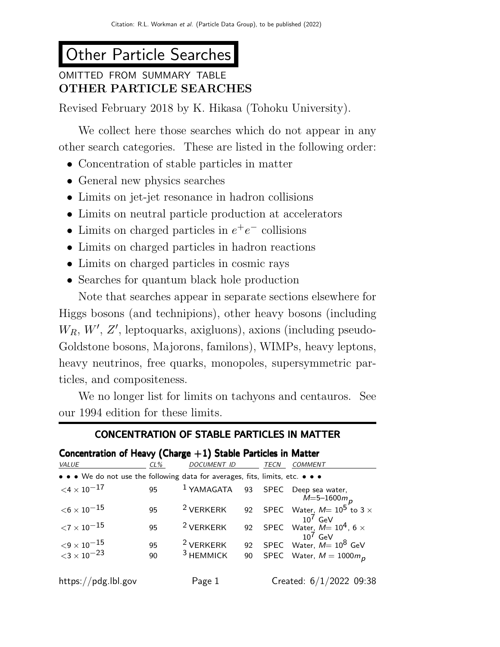# Other Particle Searches

# OMITTED FROM SUMMARY TABLE OTHER PARTICLE SEARCHES

Revised February 2018 by K. Hikasa (Tohoku University).

We collect here those searches which do not appear in any other search categories. These are listed in the following order:

- Concentration of stable particles in matter
- General new physics searches
- Limits on jet-jet resonance in hadron collisions
- Limits on neutral particle production at accelerators
- Limits on charged particles in  $e^+e^-$  collisions
- Limits on charged particles in hadron reactions
- Limits on charged particles in cosmic rays
- Searches for quantum black hole production

Note that searches appear in separate sections elsewhere for Higgs bosons (and technipions), other heavy bosons (including  $W_R$ ,  $W'$ ,  $Z'$ , leptoquarks, axigluons), axions (including pseudo-Goldstone bosons, Majorons, familons), WIMPs, heavy leptons, heavy neutrinos, free quarks, monopoles, supersymmetric particles, and compositeness.

We no longer list for limits on tachyons and centauros. See our 1994 edition for these limits.

# CONCENTRATION OF STABLE PARTICLES IN MATTER

# Concentration of Heavy (Charge  $+1$ ) Stable Particles in Matter

| VALUE                                                                         | $CL\%$ | <b>DOCUMENT ID</b>   |    | TECN | <b>COMMENT</b>                                             |
|-------------------------------------------------------------------------------|--------|----------------------|----|------|------------------------------------------------------------|
| • • • We do not use the following data for averages, fits, limits, etc. • • • |        |                      |    |      |                                                            |
| $<$ 4 $\times$ 10 $^{-17}$                                                    | 95     |                      |    |      | $1$ YAMAGATA 93 SPEC Deep sea water,<br>$M = 5 - 1600 m_p$ |
| $<$ 6 $\times$ 10 $^{-15}$                                                    | 95     | <sup>2</sup> VERKERK |    |      | 92 SPEC Water, $M=10^5$ to 3 $\times$<br>$10^7$ GeV        |
| ${<}7\times10^{-15}$                                                          | 95     | $2$ VERKERK          |    |      | 92 SPEC Water, $M=10^4$ , 6 $\times$                       |
| $< 9 \times 10^{-15}$<br>$< 3 \times 10^{-23}$                                | 95     | <sup>2</sup> VERKERK |    |      | 92 SPEC Water, $M = 10^8$ GeV                              |
|                                                                               | 90     | $3$ HEMMICK          | 90 |      | SPEC Water, $M = 1000 m_p$                                 |
| https://pdg.lbl.gov                                                           |        | Page 1               |    |      | Created: 6/1/2022 09:38                                    |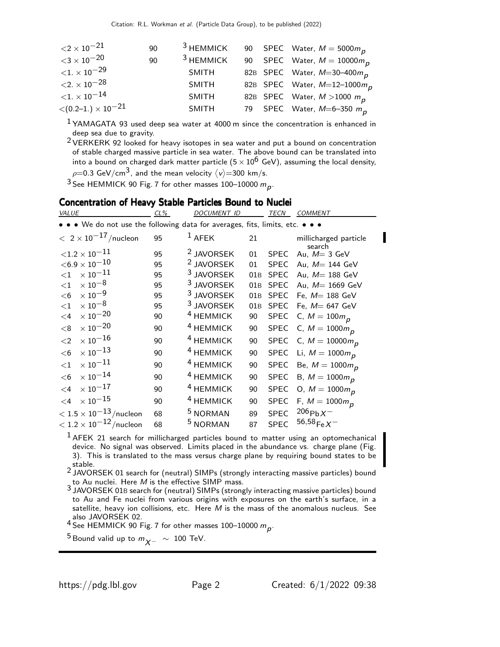| ${<}2 \times 10^{-21}$    | 90 | <sup>3</sup> HEMMICK |  | 90 SPEC Water, $M = 5000 mp$            |
|---------------------------|----|----------------------|--|-----------------------------------------|
| ${<}3\times10^{-20}$      | 90 | <sup>3</sup> HEMMICK |  | 90 SPEC Water, $M = 10000 m_p$          |
| ${<}1. \times 10^{-29}$   |    | <b>SMITH</b>         |  | 82B SPEC Water, $M=30-400m_p$           |
| ${<}2. \times 10^{-28}$   |    | <b>SMITH</b>         |  | 82B SPEC Water, $M=12-1000m_p$          |
| ${<}1. \times 10^{-14}$   |    | <b>SMITH</b>         |  | 82B SPEC Water, $M > 1000 mp$           |
| $<(0.2–1.)\times10^{-21}$ |    | <b>SMITH</b>         |  | 79 SPEC Water, $M=6-350$ m <sub>p</sub> |

 $1$ YAMAGATA 93 used deep sea water at 4000 m since the concentration is enhanced in deep sea due to gravity.

2 VERKERK 92 looked for heavy isotopes in sea water and put a bound on concentration of stable charged massive particle in sea water. The above bound can be translated into into a bound on charged dark matter particle  $(5 \times 10^6$  GeV), assuming the local density,  $\rho\!\!=\!\!0.3$  GeV/cm $^3$ , and the mean velocity  $\langle \nu \rangle\!\!=\!300$  km/s.

<sup>3</sup> See HEMMICK 90 Fig. 7 for other masses 100–10000  $m_p$ .

# **Concentration of Heavy Stable Particles Bound to Nuclei**

| VALUE                                                                         | CL% | <i>DOCUMENT ID</i>    |     | TECN        | <b>COMMENT</b>                  |
|-------------------------------------------------------------------------------|-----|-----------------------|-----|-------------|---------------------------------|
| • • • We do not use the following data for averages, fits, limits, etc. • • • |     |                       |     |             |                                 |
| $< 2 \times 10^{-17}$ /nucleon                                                | 95  | $1$ AFEK              | 21  |             | millicharged particle<br>search |
| ${<}1.2\times10^{-11}$                                                        | 95  | <sup>2</sup> JAVORSEK | 01  | <b>SPEC</b> | Au, $M = 3$ GeV                 |
| $<$ 6.9 $\times$ 10 $^{-10}$                                                  | 95  | <sup>2</sup> JAVORSEK | 01  | <b>SPEC</b> | Au, $M = 144$ GeV               |
| $\times\,10^{-11}$<br>${<}1$                                                  | 95  | <sup>3</sup> JAVORSEK | 01B | <b>SPEC</b> | Au, M= 188 GeV                  |
| $\times$ 10 $^{-8}$<br>${<}1$                                                 | 95  | <sup>3</sup> JAVORSEK | 01B | <b>SPEC</b> | Au, M= 1669 GeV                 |
| $\times$ 10 $^{-9}$<br>$<$ 6                                                  | 95  | $3$ JAVORSEK          | 01B | <b>SPEC</b> | Fe, $M=188$ GeV                 |
| $\times$ 10 $^{-8}$<br>$<$ 1                                                  | 95  | <sup>3</sup> JAVORSEK | 01B | <b>SPEC</b> | Fe, $M = 647$ GeV               |
| $\times$ 10 $^{-20}$<br>$\leq$ 4                                              | 90  | <sup>4</sup> HEMMICK  | 90  |             | SPEC C, $M = 100m_p$            |
| $\times$ $10^{-20}$<br>< 8                                                    | 90  | <sup>4</sup> HEMMICK  | 90  |             | SPEC C, $M = 1000 m_p$          |
| $\times$ $10^{-16}$<br>$\leq$ 2                                               | 90  | <sup>4</sup> HEMMICK  | 90  |             | SPEC C, $M = 10000 m_p$         |
| $\times$ 10 $^{-13}$<br>$<$ 6                                                 | 90  | <sup>4</sup> HEMMICK  | 90  |             | SPEC Li, $M = 1000 m_p$         |
| $\times$ 10 $^{-11}$<br>${<}1$                                                | 90  | <sup>4</sup> HEMMICK  | 90  |             | SPEC Be, $M = 1000 m_p$         |
| $\times$ 10 $^{-14}$<br><6                                                    | 90  | <sup>4</sup> HEMMICK  | 90  | <b>SPEC</b> | B, $M = 1000 m$ <sub>D</sub>    |
| $\times$ 10 $^{-17}$<br>$\leq$ 4                                              | 90  | <sup>4</sup> HEMMICK  | 90  | <b>SPEC</b> | O, $M = 1000 m_p$               |
| $\times$ $10^{-15}$<br>$\leq 4$                                               | 90  | <sup>4</sup> HEMMICK  | 90  | <b>SPEC</b> | F, $M = 1000 m_p$               |
| $<$ 1.5 $\times$ 10 $^{-13}$ /nucleon                                         | 68  | <sup>5</sup> NORMAN   | 89  | <b>SPEC</b> | $206 p_{b} \chi^{-}$            |
| $<$ 1.2 $\times$ 10 <sup>-12</sup> /nucleon                                   | 68  | <sup>5</sup> NORMAN   | 87  | <b>SPEC</b> | $56,58$ <sub>Fe</sub> $X^-$     |

 $<sup>1</sup>$ AFEK 21 search for millicharged particles bound to matter using an optomechanical</sup> device. No signal was observed. Limits placed in the abundance vs. charge plane (Fig. 3). This is translated to the mass versus charge plane by requiring bound states to be stable.

2 JAVORSEK 01 search for (neutral) SIMPs (strongly interacting massive particles) bound

 $_\mathrm{J}$  to Au nuclei. Here  $M$  is the effective SIMP mass.<br> $^3$  JAVORSEK 01B search for (neutral) SIMPs (strongly interacting massive particles) bound to Au and Fe nuclei from various origins with exposures on the earth's surface, in a satellite, heavy ion collisions, etc. Here  $M$  is the mass of the anomalous nucleus. See also JAVORSEK 02.

<sup>4</sup> See HEMMICK 90 Fig. 7 for other masses 100–10000  $m_p$ .

 $^{5}$  Bound valid up to  $m_{\chi-}$  ~ 100 TeV.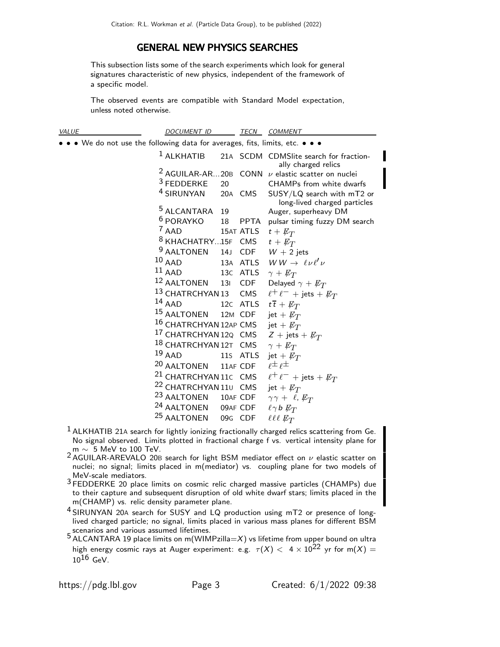# GENERAL NEW PHYSICS SEARCHES

This subsection lists some of the search experiments which look for general signatures characteristic of new physics, independent of the framework of a specific model.

The observed events are compatible with Standard Model expectation, unless noted otherwise.

| <b>VALUE</b>                                                                  | <b>DOCUMENT ID</b>                                                |     | TECN     | <b>COMMENT</b>                                                     |
|-------------------------------------------------------------------------------|-------------------------------------------------------------------|-----|----------|--------------------------------------------------------------------|
| • • • We do not use the following data for averages, fits, limits, etc. • • • |                                                                   |     |          |                                                                    |
|                                                                               | $1$ ALKHATIB                                                      |     |          | 21A SCDM CDMSlite search for fraction-<br>ally charged relics      |
|                                                                               |                                                                   |     |          | <sup>2</sup> AGUILAR-AR20B CONN $\nu$ elastic scatter on nuclei    |
|                                                                               | $3$ FEDDERKE                                                      | 20  |          | CHAMPs from white dwarfs                                           |
|                                                                               | <sup>4</sup> SIRUNYAN                                             |     |          | 20A CMS SUSY/LQ search with mT2 or<br>long-lived charged particles |
|                                                                               | <sup>5</sup> ALCANTARA                                            | 19  |          | Auger, superheavy DM                                               |
|                                                                               | <sup>6</sup> PORAYKO                                              | 18  |          | PPTA pulsar timing fuzzy DM search                                 |
|                                                                               | <sup>7</sup> AAD                                                  |     |          | 15AT ATLS $t + \not\!\!{E_T}$                                      |
|                                                                               | <sup>8</sup> KHACHATRY15F CMS $t + \not\!\!{E_T}$                 |     |          |                                                                    |
|                                                                               | <sup>9</sup> AALTONEN                                             |     |          | 14J CDF $W + 2$ jets                                               |
|                                                                               | $10$ AAD                                                          |     |          | 13A ATLS $WW \rightarrow \ell \nu \ell' \nu$                       |
|                                                                               | $11$ AAD                                                          |     |          | 13c ATLS $\gamma + \not\!\!{E_T}$                                  |
|                                                                               | <sup>12</sup> AALTONEN                                            | 131 |          | CDF Delayed $\gamma + E_T$                                         |
|                                                                               | <sup>13</sup> CHATRCHYAN 13                                       |     |          | CMS $\ell^+ \ell^-$ + jets + $\not{\!\! E_T}$                      |
|                                                                               | $14$ AAD                                                          |     |          | 12c ATLS $t\overline{t} + \cancel{E}_T$                            |
|                                                                               | <sup>15</sup> AALTONEN                                            |     | 12M CDF  | jet + $\not{\!\! E_T}$                                             |
|                                                                               | 16 CHATRCHYAN 12AP CMS jet + $\not\!\!E_T$                        |     |          |                                                                    |
|                                                                               | <sup>17</sup> CHATRCHYAN 12Q CMS $Z + \text{jets} + \cancel{E_T}$ |     |          |                                                                    |
|                                                                               | <sup>18</sup> CHATRCHYAN 12T CMS                                  |     |          | $\gamma + \not\!\!{E_T}$                                           |
|                                                                               | $19$ AAD                                                          |     | 11s ATLS | jet + $\not{\!\! E_T}$                                             |
|                                                                               | 20 AALTONEN                                                       |     | 11AF CDF | $\rho \pm \rho \pm$                                                |
|                                                                               | <sup>21</sup> CHATRCHYAN 11C CMS                                  |     |          | $\ell^+\ell^-$ + jets + $\not\!\!E_T$                              |
|                                                                               | 22 CHATRCHYAN 110 CMS                                             |     |          | jet + $\not{\!\! E_T}$                                             |
|                                                                               | <sup>23</sup> AALTONEN                                            |     |          | 10AF CDF $\gamma \gamma + \ell$ , $\not{\!\! E_T}$                 |
|                                                                               | <sup>24</sup> AALTONEN                                            |     | 09AF CDF | $\ell \gamma$ b $\not{\!\! E}_T$                                   |
|                                                                               | <sup>25</sup> AALTONEN                                            |     | 09G CDF  | $\ell \ell \ell \not \! \! E_T$                                    |

- $<sup>1</sup>$  ALKHATIB 21A search for lightly ionizing fractionally charged relics scattering from Ge.</sup> No signal observed. Limits plotted in fractional charge f vs. vertical intensity plane for m  $\sim$  5 MeV to 100 TeV.
- 2 AGUILAR-AREVALO 20B search for light BSM mediator effect on  $\nu$  elastic scatter on nuclei; no signal; limits placed in m(mediator) vs. coupling plane for two models of MeV-scale mediators.
- <sup>3</sup> FEDDERKE 20 place limits on cosmic relic charged massive particles (CHAMPs) due to their capture and subsequent disruption of old white dwarf stars; limits placed in the m(CHAMP) vs. relic density parameter plane.
- 4 SIRUNYAN 20<sup>A</sup> search for SUSY and LQ production using mT2 or presence of longlived charged particle; no signal, limits placed in various mass planes for different BSM scenarios and various assumed lifetimes.

 $5$  ALCANTARA 19 place limits on m(WIMPzilla=X) vs lifetime from upper bound on ultra high energy cosmic rays at Auger experiment: e.g.  $\tau(X) < 4 \times 10^{22}$  yr for m(X) =  $10^{16}$  GeV.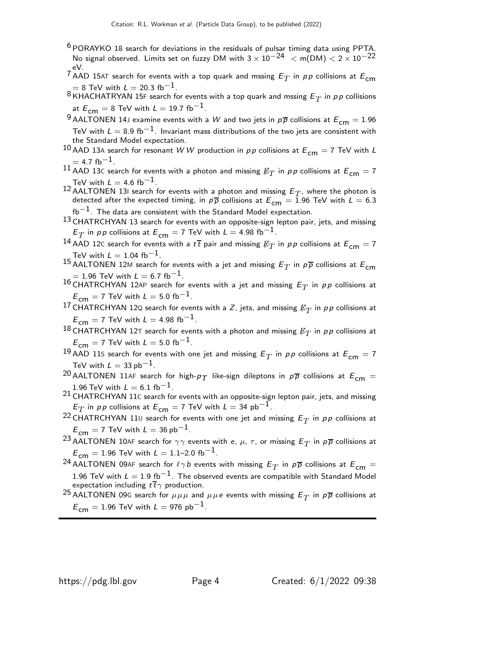<sup>6</sup> PORAYKO 18 search for deviations in the residuals of pulsar timing data using PPTA. No signal observed. Limits set on fuzzy DM with  $3 \times 10^{-24}$  < m(DM) <  $2 \times 10^{-22}$ eV.

- $^7$  AAD 15AT search for events with a top quark and mssing  $E_T$  in  $pp$  collisions at  $E_{\mathsf{cm}}$  $= 8$  TeV with  $L = 20.3$  fb<sup>-1</sup>
- $^8$ KHACHATRYAN 15F search for events with a top quark and mssing  $E_T$  in  $\rho \rho$  collisions at  $E_{cm} = 8$  TeV with  $L = 19.7$  fb<sup>-1</sup>.
- <sup>9</sup> AALTONEN 14J examine events with a W and two jets in  $p\overline{p}$  collisions at  $E_{cm} = 1.96$ TeV with  $L=8.9~{\rm fb}^{-1}$ . Invariant mass distributions of the two jets are consistent with the Standard Model expectation.
- 10 AAD 13A search for resonant WW production in  $pp$  collisions at  $E_{cm} = 7$  TeV with L  $= 4.7$  fb<sup>-1</sup>.
- $^{11}$  AAD  $^{13}$ C search for events with a photon and missing  $\not\hspace{-1.2mm}E_{T}$  in  $\rho\rho$  collisions at  $\mathcal{E}_{\mathsf{cm}}=7$ TeV with  $L = 4.6$  fb<sup>-1</sup>.
- <sup>12</sup> AALTONEN 13I search for events with a photon and missing  $E_T$ , where the photon is detected after the expected timing, in  $p\bar{p}$  collisions at  $E_{cm} = 1.96$  TeV with  $L = 6.3$  $fb^{-1}$ . The data are consistent with the Standard Model expectation.
- 13 CHATRCHYAN 13 search for events with an opposite-sign lepton pair, jets, and missing  $E^{}_T$  in  $p\,p$  collisions at  $E^{}_{\mathsf{cm}}=7$  TeV with  $L=$  4.98 fb $^{-1}.$
- $^{14}$  AAD 12C search for events with a  $t\,\overline{t}$  pair and missing  $\not\!\!E_T$  in  $\rho\,\rho$  collisions at  $E_{\mathsf{cm}}=7$ TeV with  $L = 1.04$  fb<sup>-1</sup>.
- $^{15}$  AALTONEN 12M search for events with a jet and missing  $E_T$  in  $\rho\overline{\rho}$  collisions at  $E_{\mathsf{cm}}$  $= 1.96$  TeV with  $\mathsf{L} = 6.7$  fb $^{-1}.$
- $^{16}$  CHATRCHYAN 12AP search for events with a jet and missing  $E_T$  in  $\rho\rho$  collisions at  $E_{\text{cm}} = 7$  TeV with  $L = 5.0$  fb<sup>-1</sup>.
- <sup>17</sup> CHATRCHYAN 12Q search for events with a *Z*, jets, and missing  $\not\hspace{-1.2mm}E_{T}$  in  $\rho\,p$  collisions at  $E_{cm} = 7$  TeV with  $L = 4.98$  fb<sup>-1</sup>.
- $^{18}$  CHATRCHYAN 12T search for events with a photon and missing  $\not\hspace{-1.2mm}E_{T}$  in  $\rho\rho$  collisions at  $E_{\text{cm}} = 7$  TeV with  $L = 5.0$  fb<sup>-1</sup>.
- $^{19}$  AAD 11S search for events with one jet and missing  $E^{}_T$  in  $\rho\,\rho$  collisions at  $E^{}_{\mathsf{cm}}=7$ TeV with  $L = 33$  pb<sup>-1</sup>.
- <sup>20</sup> AALTONEN 11AF search for high- $p_T$  like-sign dileptons in  $p\overline{p}$  collisions at  $E_{cm} =$ 1.96 TeV with  $L = 6.1$  fb<sup>-1</sup>.
- 21 CHATRCHYAN 11<sup>C</sup> search for events with an opposite-sign lepton pair, jets, and missing  $E^{}_T$  in  $p\,p$  collisions at  $E^{}_{\mathsf{cm}}=7$  TeV with  $L=34$   ${\sf pb}^{-1}.$
- <sup>22</sup> CHATRCHYAN 110 search for events with one jet and missing  $E_T$  in  $pp$  collisions at  $E_{cm} = 7$  TeV with  $L = 36$  pb<sup>-1</sup>.
- $^{23}$  AALTONEN 10AF search for  $\gamma\gamma$  events with e,  $\mu$ ,  $\tau$ , or missing  $E_T$  in  $\rho\overline{\rho}$  collisions at  $E_{cm} = 1.96$  TeV with  $L = 1.1$ –2.0 fb<sup>-1</sup>.
- $^{24}$  AALTONEN 09AF search for  $\ell \gamma b$  events with missing  $E_T$  in  $\rho \overline{\rho}$  collisions at  $E_{\mathsf{cm}}=$ 1.96 TeV with  $L = 1.9$  fb<sup>-1</sup>. The observed events are compatible with Standard Model expectation including  $t\bar{t}\gamma$  production.
- $^{25}$  AALTONEN 09G search for  $\mu\mu\mu$  and  $\mu\mu$ e events with missing  $E_T$  in  $\rho\overline{\rho}$  collisions at  $E_{cm} = 1.96$  TeV with  $L = 976$  pb<sup>-1</sup>.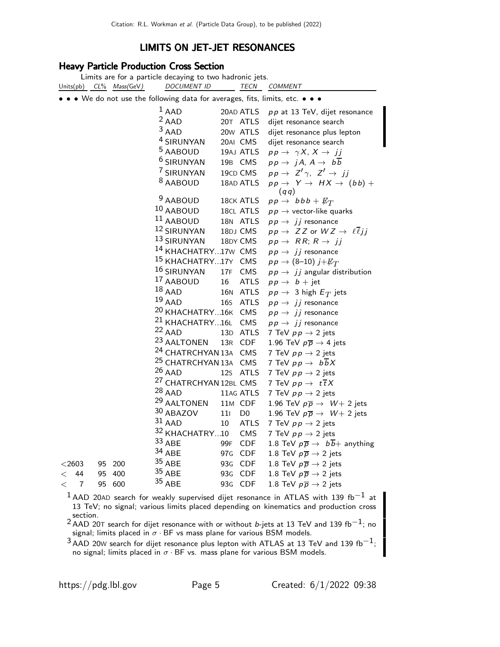# LIMITS ON JET-JET RESONANCES

## Heavy Particle Production Cross Section

|             |    |                         | Limits are for a particle decaying to two hadronic jets.                      |                 |                |                                                                |
|-------------|----|-------------------------|-------------------------------------------------------------------------------|-----------------|----------------|----------------------------------------------------------------|
|             |    | Units(pb) CL% Mass(GeV) | <b>DOCUMENT ID</b>                                                            |                 | <b>TECN</b>    | COMMENT                                                        |
|             |    |                         | • • • We do not use the following data for averages, fits, limits, etc. • • • |                 |                |                                                                |
|             |    |                         | $1$ AAD                                                                       |                 | 20AD ATLS      | $pp$ at 13 TeV, dijet resonance                                |
|             |    |                         | $2$ AAD                                                                       |                 | 20T ATLS       | dijet resonance search                                         |
|             |    |                         | $3$ AAD                                                                       |                 | 20w ATLS       | dijet resonance plus lepton                                    |
|             |    |                         | <sup>4</sup> SIRUNYAN                                                         |                 | 20AI CMS       | dijet resonance search                                         |
|             |    |                         | <sup>5</sup> AABOUD                                                           |                 | 19AJ ATLS      | $pp \rightarrow \gamma X, X \rightarrow jj$                    |
|             |    |                         | <sup>6</sup> SIRUNYAN                                                         |                 | 19B CMS        | $pp \rightarrow jA, A \rightarrow b\overline{b}$               |
|             |    |                         | 7 SIRUNYAN                                                                    |                 | 19CD CMS       | $pp \rightarrow Z' \gamma$ , $Z' \rightarrow jj$               |
|             |    |                         | <sup>8</sup> AABOUD                                                           |                 | 18AD ATLS      | $pp \rightarrow Y \rightarrow HX \rightarrow (bb) +$<br>(qq)   |
|             |    |                         | 9 AABOUD                                                                      |                 | 18CK ATLS      | $pp \rightarrow bbbb + E_T$                                    |
|             |    |                         | 10 AABOUD                                                                     |                 | 18CL ATLS      | $p p \rightarrow$ vector-like quarks                           |
|             |    |                         | <sup>11</sup> AABOUD                                                          |                 | 18N ATLS       | $pp \rightarrow jj$ resonance                                  |
|             |    |                         | 12 SIRUNYAN                                                                   |                 | 18DJ CMS       | $pp \rightarrow ZZ$ or $WZ \rightarrow \ell \overline{\ell}jj$ |
|             |    |                         | 13 SIRUNYAN                                                                   |                 | 18DY CMS       | $pp \rightarrow RR; R \rightarrow jj$                          |
|             |    |                         | 14 KHACHATRY17W CMS                                                           |                 |                | $pp \rightarrow jj$ resonance                                  |
|             |    |                         | <sup>15</sup> KHACHATRY17Y CMS                                                |                 |                | $pp \rightarrow (8-10) j + \not\!\!{E_T}$                      |
|             |    |                         | 16 SIRUNYAN                                                                   | 17F             | <b>CMS</b>     | $p p \rightarrow j j$ angular distribution                     |
|             |    |                         | 17 AABOUD                                                                     | 16              | <b>ATLS</b>    | $pp \rightarrow b + jet$                                       |
|             |    |                         | $18$ AAD                                                                      | <b>16N</b>      | <b>ATLS</b>    | $pp \rightarrow 3$ high $E_T$ jets                             |
|             |    |                         | $19$ AAD                                                                      | 16S             | <b>ATLS</b>    | $pp \rightarrow jj$ resonance                                  |
|             |    |                         | <sup>20</sup> KHACHATRY16K CMS                                                |                 |                | $pp \rightarrow jj$ resonance                                  |
|             |    |                         | <sup>21</sup> KHACHATRY16L                                                    |                 | CMS            | $p p \rightarrow j j$ resonance                                |
|             |    |                         | $22$ AAD                                                                      | 13D             | <b>ATLS</b>    | 7 TeV $pp \rightarrow 2$ jets                                  |
|             |    |                         | 23 AALTONEN                                                                   | 13R             | CDF            | 1.96 TeV $p\overline{p} \rightarrow 4$ jets                    |
|             |    |                         | <sup>24</sup> CHATRCHYAN 13A                                                  |                 | CMS            | 7 TeV $pp \rightarrow 2$ jets                                  |
|             |    |                         | <sup>25</sup> CHATRCHYAN 13A                                                  |                 | CMS            | 7 TeV $p p \rightarrow b \overline{b} X$                       |
|             |    |                         | $26$ AAD                                                                      | 12 <sub>S</sub> | <b>ATLS</b>    | 7 TeV $pp \rightarrow 2$ jets                                  |
|             |    |                         | <sup>27</sup> CHATRCHYAN 12BL CMS                                             |                 |                | 7 TeV $pp \rightarrow t\overline{t}X$                          |
|             |    |                         | $28$ AAD                                                                      |                 | 11AG ATLS      | 7 TeV $p p \rightarrow 2$ jets                                 |
|             |    |                         | 29 AALTONEN                                                                   |                 | 11M CDF        | 1.96 TeV $p\overline{p} \rightarrow W + 2$ jets                |
|             |    |                         | 30 ABAZOV                                                                     | 111             | D <sub>0</sub> | 1.96 TeV $p\overline{p} \rightarrow W + 2$ jets                |
|             |    |                         | $31$ AAD                                                                      | 10              | <b>ATLS</b>    | 7 TeV $pp \rightarrow 2$ jets                                  |
|             |    |                         | 32 KHACHATRY10                                                                |                 | CMS            | 7 TeV $pp \rightarrow 2$ jets                                  |
|             |    |                         | 33 ABE                                                                        | 99F             | <b>CDF</b>     | 1.8 TeV $p\overline{p} \rightarrow b\overline{b}$ anything     |
|             |    |                         | 34 ABE                                                                        | 97 <sub>G</sub> | <b>CDF</b>     | 1.8 TeV $p\overline{p} \rightarrow 2$ jets                     |
| $<$ 2603    |    | 95 200                  | $35$ ABE                                                                      | 93 <sub>G</sub> | <b>CDF</b>     | 1.8 TeV $p\overline{p} \rightarrow 2$ jets                     |
| 44<br>$\lt$ | 95 | 400                     | $35$ ABE                                                                      | 93 <sub>G</sub> | <b>CDF</b>     | 1.8 TeV $p\overline{p} \rightarrow 2$ jets                     |
| 7<br>$\lt$  | 95 | 600                     | 35 ABE                                                                        | 93 <sub>G</sub> | <b>CDF</b>     | 1.8 TeV $p\overline{p} \rightarrow 2$ jets                     |

 $^{\rm 1}$  AAD 20AD search for weakly supervised dijet resonance in ATLAS with 139 fb $^{-1}$  at 13 TeV; no signal; various limits placed depending on kinematics and production cross

section.<br><sup>2</sup> AAD 20T search for dijet resonance with or without *b*-jets at 13 TeV and 139 fb $^{-1};$  no signal; limits placed in  $\sigma \cdot$  BF vs mass plane for various BSM models.

 $^3$ AAD 20W search for dijet resonance plus lepton with ATLAS at 13 TeV and 139 fb $^{\rm -1;}$ no signal; limits placed in σ · BF vs. mass plane for various BSM models.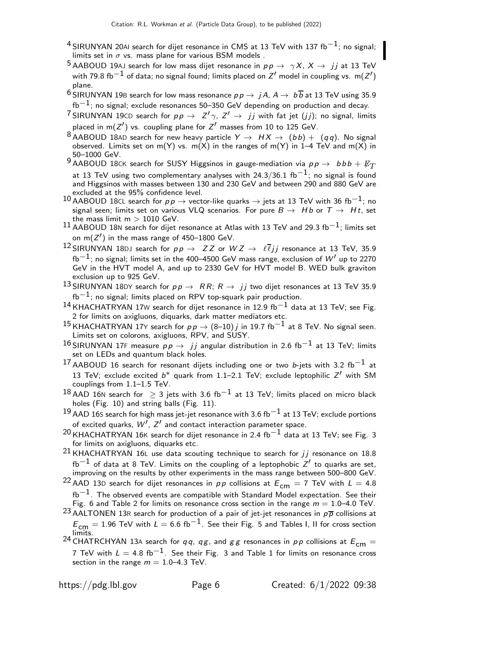- <sup>4</sup> SIRUNYAN 20AI search for dijet resonance in CMS at 13 TeV with 137 fb<sup>-1</sup>; no signal; limits set in  $\sigma$  vs. mass plane for various BSM models .
- $^5$ AABOUD 19AJ search for low mass dijet resonance in  $p \, p \, \rightarrow \, \gamma X \, , \, X \, \rightarrow \, \, jj$  at 13 TeV with 79.8 fb $^{-1}$  of data; no signal found; limits placed on  $\mathsf{Z}'$  model in coupling vs.  $\mathsf{m}(\mathsf{Z}')$ plane.
- <sup>6</sup> SIRUNYAN 19B search for low mass resonance  $pp \rightarrow jA$ ,  $A \rightarrow b\overline{b}$  at 13 TeV using 35.9 fb<sup>-1</sup>; no signal; exclude resonances 50–350 GeV depending on production and decay.
- <sup>7</sup> SIRUNYAN 19CD search for  $p p \rightarrow Z' \gamma$ ,  $Z' \rightarrow jj$  with fat jet  $(jj)$ ; no signal, limits placed in m( $Z'$ ) vs. coupling plane for  $Z'$  masses from 10 to 125 GeV.
- 8 AABOUD 18AD search for new heavy particle  $Y \rightarrow H X \rightarrow (b\,b) + (q\,q)$ . No signal observed. Limits set on m(Y) vs. m(X) in the ranges of m(Y) in 1-4 TeV and m(X) in 50–1000 GeV.
- 9 AABOUD 18CK search for SUSY Higgsinos in gauge-mediation via  $pp \rightarrow bbb + \not\!\!{E}_T$ at 13 TeV using two complementary analyses with 24.3/36.1 fb $^{-1}$ ; no signal is found and Higgsinos with masses between 130 and 230 GeV and between 290 and 880 GeV are excluded at the 95% confidence level.
- 10 AABOUD 18CL search for  $pp \to$  vector-like quarks  $\to$  jets at 13 TeV with 36 fb<sup>-1</sup>; no signal seen; limits set on various VLQ scenarios. For pure  $B \to Hb$  or  $T \to Ht$ , set the mass limit  $m > 1010$  GeV.
- 11 AABOUD 18N search for dijet resonance at Atlas with 13 TeV and 29.3 fb<sup>-1</sup>; limits set on m $(Z^{\prime})$  in the mass range of 450–1800 GeV.
- 12 SIRUNYAN 18DJ search for  $pp \to ZZ$  or  $WZ \to \ell \overline{\ell} j j$  resonance at 13 TeV, 35.9 fb<sup>-1</sup>; no signal; limits set in the 400–4500 GeV mass range, exclusion of  $W'$  up to 2270 GeV in the HVT model A, and up to 2330 GeV for HVT model B. WED bulk graviton exclusion up to 925 GeV.
- $^{13}$ SIRUNYAN 18DY search for  $p \, p \, \rightarrow \, RR;\, R \, \rightarrow \, jj$  two dijet resonances at 13 TeV 35.9  $fb^{-1}$ ; no signal; limits placed on RPV top-squark pair production.
- $14$  KHACHATRYAN 17W search for dijet resonance in 12.9 fb $-1$  data at 13 TeV; see Fig. 2 for limits on axigluons, diquarks, dark matter mediators etc.
- <sup>15</sup> KHACHATRYAN 17Y search for  $p p \rightarrow (8–10)$  *j* in 19.7 fb<sup>-1</sup> at 8 TeV. No signal seen. Limits set on colorons, axigluons, RPV, and SUSY.
- 16 SIRUNYAN 17F measure  $p p \rightarrow j j$  angular distribution in 2.6 fb<sup>-1</sup> at 13 TeV; limits set on LEDs and quantum black holes.
- 17 AABOUD 16 search for resonant dijets including one or two b-jets with 3.2 fb<sup>-1</sup> at 13 TeV; exclude excited  $b^*$  quark from 1.1-2.1 TeV; exclude leptophilic  $Z'$  with SM couplings from 1.1–1.5 TeV.
- $^{18}$ AAD 16N search for  $\geq$  3 jets with 3.6 fb $^{-1}$  at 13 TeV; limits placed on micro black holes (Fig. 10) and string balls (Fig. 11).
- <sup>19</sup> AAD 16S search for high mass jet-jet resonance with 3.6 fb<sup>-1</sup> at 13 TeV; exclude portions of excited quarks,  $W', Z'$  and contact interaction parameter space.
- $20$  KHACHATRYAN 16K search for dijet resonance in 2.4 fb<sup>-1</sup> data at 13 TeV; see Fig. 3 for limits on axigluons, diquarks etc.
- $21$  KHACHATRYAN 16L use data scouting technique to search for  $jj$  resonance on 18.8  ${\rm fb}^{-1}$  of data at 8 TeV. Limits on the coupling of a leptophobic  $Z^\prime$  to quarks are set, improving on the results by other experiments in the mass range between 500–800 GeV.
- <sup>22</sup> AAD 13D search for dijet resonances in  $pp$  collisions at  $E_{cm} = 7$  TeV with  $L = 4.8$  $fb^{-1}$ . The observed events are compatible with Standard Model expectation. See their Fig. 6 and Table 2 for limits on resonance cross section in the range  $m = 1.0-4.0$  TeV.
- <sup>23</sup> AALTONEN 13R search for production of a pair of jet-jet resonances in  $p\overline{p}$  collisions at  $E_{\textsf{cm}}=1.96$  TeV with  $L=6.6\;\text{fb}^{-1}$ . See their Fig. 5 and Tables I, II for cross section limits.
- <sup>24</sup> CHATRCHYAN 13A search for qq, qg, and gg resonances in pp collisions at  $E_{cm} =$ 7 TeV with  $L = 4.8 \text{ fb}^{-1}$ . See their Fig. 3 and Table 1 for limits on resonance cross section in the range  $m = 1.0 - 4.3$  TeV.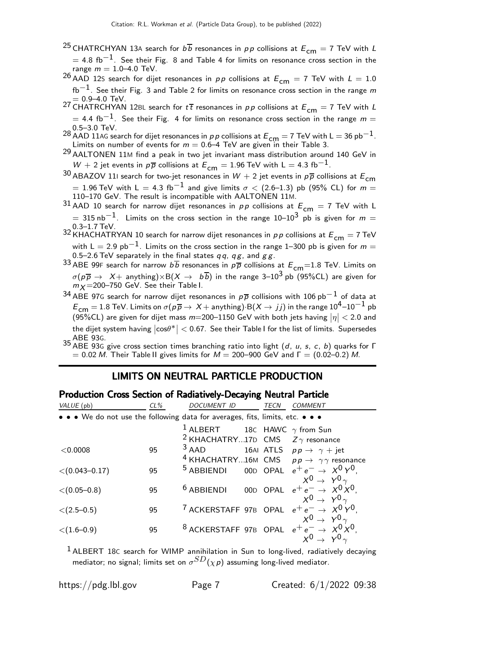<sup>25</sup> CHATRCHYAN 13A search for  $b\overline{b}$  resonances in pp collisions at  $E_{cm} = 7$  TeV with L  $=$  4.8 fb $^{-1}$ . See their Fig. 8 and Table 4 for limits on resonance cross section in the range  $m = 1.0 - 4.0$  TeV.

<sup>26</sup> AAD 12S search for dijet resonances in pp collisions at  $E_{cm} = 7$  TeV with  $L = 1.0$  $fb^{-1}$ . See their Fig. 3 and Table 2 for limits on resonance cross section in the range m

 $= 0.9$ –4.0 TeV.<br><sup>27</sup> CHATRCHYAN 12BL search for t t resonances in pp collisions at  $E_{\textsf{cm}} = 7$  TeV with L  $=$  4.4 fb $^{-1}$ . See their Fig. 4 for limits on resonance cross section in the range  $m = \frac{1}{2}$ 0.5–3.0 TeV.

28 AAD 11AG search for dijet resonances in p p collisions at  $E_{cm} = 7$  TeV with L  $= 36$  pb $^{-1}$ . Limits on number of events for  $m = 0.6-4$  TeV are given in their Table 3.

29 AALTONEN 11<sup>M</sup> find a peak in two jet invariant mass distribution around 140 GeV in W + 2 jet events in  $p\overline{p}$  collisions at  $E_{cm} = 1.96$  TeV with L = 4.3 fb<sup>-1</sup>.

- <sup>30</sup> ABAZOV 11I search for two-jet resonances in  $W + 2$  jet events in  $p\overline{p}$  collisions at  $E_{cm}$  $= 1.96$  TeV with L  $= 4.3$  fb $^{-1}$  and give limits  $\sigma < (2.6\text{--}1.3)$  pb  $(95\%$  CL) for  $m =$ 110–170 GeV. The result is incompatible with AALTONEN 11M.
- $31$  AAD 10 search for narrow dijet resonances in  $pp$  collisions at  $E_{cm} = 7$  TeV with L  $= 315$  nb<sup>-1</sup>. Limits on the cross section in the range 10–10<sup>3</sup> pb is given for  $m =$ 0.3–1.7 TeV.

32 KHACHATRYAN 10 search for narrow dijet resonances in  $p \, p$  collisions at  $E_{\text{cm}} = 7 \text{ TeV}$ with L = 2.9 pb<sup>-1</sup>. Limits on the cross section in the range 1–300 pb is given for  $m =$ 0.5–2.6 TeV separately in the final states  $qq$ ,  $qg$ , and  $gg$ .

33 ABE 99F search for narrow  $b\overline{b}$  resonances in  $p\overline{p}$  collisions at  $E_{cm}$ =1.8 TeV. Limits on  $\sigma(p\overline{p} \to X+$  anything) $\times$ B $(X \to b\overline{b})$  in the range 3–10<sup>3</sup> pb (95%CL) are given for  $m_X = 200 - 750$  GeV. See their Table I.

34 ABE 97G search for narrow dijet resonances in  $p\overline{p}$  collisions with 106 pb<sup>-1</sup> of data at  $E_{\textsf{cm}}=1.8$  TeV. Limits on  $\sigma(p\overline{p}\rightarrow X+\text{anything})$  B $(X\rightarrow jj)$  in the range  $10^4\text{--}10^{-1}$  pb (95%CL) are given for dijet mass  $m=$  200–1150 GeV with both jets having  $\left|\eta\right|$   $<$  2.0 and the dijet system having  $\left|\cos\!\theta^*\right| < 0.67$ . See their Table I for the list of limits. Supersedes ABE 93G.

35 ABE 93<sup>G</sup> give cross section times branching ratio into light (d, u, s, c, b) quarks for Γ  $= 0.02$  M. Their Table II gives limits for  $M = 200-900$  GeV and  $\Gamma = (0.02-0.2)$  M.

## LIMITS ON NEUTRAL PARTICLE PRODUCTION

#### Production Cross Section of Radiatively-Decaying Neutral Particle

| VALUE (pb)                                                                    | $CL\%$ | <b>DOCUMENT ID</b>                                | TECN | COMMENT                                                                 |
|-------------------------------------------------------------------------------|--------|---------------------------------------------------|------|-------------------------------------------------------------------------|
| • • • We do not use the following data for averages, fits, limits, etc. • • • |        |                                                   |      |                                                                         |
|                                                                               |        | <sup>1</sup> ALBERT 18C HAWC $\gamma$ from Sun    |      |                                                                         |
|                                                                               |        | <sup>2</sup> KHACHATRY17D CMS $Z\gamma$ resonance |      |                                                                         |
| < 0.0008                                                                      | 95     | $3$ AAD                                           |      | 16AI ATLS $pp \rightarrow \gamma + jet$                                 |
|                                                                               |        |                                                   |      | <sup>4</sup> KHACHATRY16M CMS $p p \rightarrow \gamma \gamma$ resonance |
| $\langle (0.043 - 0.17)$                                                      | 95     |                                                   |      | <sup>5</sup> ABBIENDI 00D OPAL $e^+e^- \rightarrow X^0Y^0$              |
|                                                                               |        |                                                   |      | $X^0 \rightarrow Y^0 \gamma$                                            |
| $\langle (0.05 - 0.8)$                                                        | 95     | $6$ ABBIENDI                                      |      | 00D OPAL $e^+e^- \rightarrow X^0 X^0$ .                                 |
|                                                                               |        |                                                   |      | $X^0 \rightarrow Y^0 \gamma$                                            |
| $\langle (2.5-0.5)$                                                           | 95     |                                                   |      | <sup>7</sup> ACKERSTAFF 97B OPAL $e^+e^- \rightarrow X^0 Y^0$ ,         |
|                                                                               |        |                                                   |      | $X^0 \rightarrow Y^0 \gamma$                                            |
| $\langle (1.6 - 0.9) \rangle$                                                 | 95     |                                                   |      | <sup>8</sup> ACKERSTAFF 97B OPAL $e^+e^- \rightarrow X^0 X^0$ ,         |
|                                                                               |        |                                                   |      | $X^0 \rightarrow Y^0 \gamma$                                            |

 $<sup>1</sup>$  ALBERT 18C search for WIMP annihilation in Sun to long-lived, radiatively decaying</sup> mediator; no signal; limits set on  $\sigma^{SD}(\chi \rho)$  assuming long-lived mediator.

https://pdg.lbl.gov Page 7 Created: 6/1/2022 09:38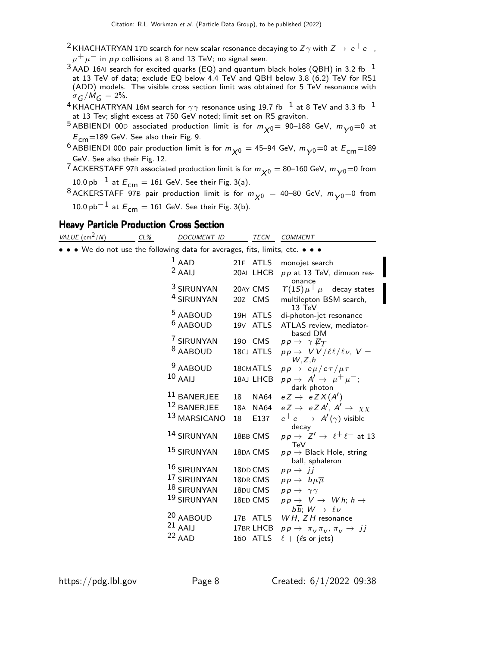- <sup>2</sup> KHACHATRYAN 17D search for new scalar resonance decaying to Z $\gamma$  with  $Z\rightarrow e^+e^-,$  $\mu^+ \mu^-$  in pp collisions at 8 and 13 TeV; no signal seen.
- $^3$ AAD 16AI search for excited quarks (EQ) and quantum black holes (QBH) in 3.2 fb<sup>-1</sup> at 13 TeV of data; exclude EQ below 4.4 TeV and QBH below 3.8 (6.2) TeV for RS1 (ADD) models. The visible cross section limit was obtained for 5 TeV resonance with  $\sigma$ <sub>G</sub> $/M$ <sub>G</sub> = 2%.
- $^4$ KHACHATRYAN 16M search for  $\gamma\gamma$  resonance using 19.7 fb $^{-1}$  at 8 TeV and 3.3 fb $^{-1}$ at 13 Tev; slight excess at 750 GeV noted; limit set on RS graviton.
- <sup>5</sup> ABBIENDI 00D associated production limit is for  $m_{\nu 0}$  = 90–188 GeV,  $m_{\nu 0}$  = 0 at  $E_{\text{cm}}$ =189 GeV. See also their Fig. 9.
- <sup>6</sup> ABBIENDI 00D pair production limit is for  $m_{\chi0} =$  45–94 GeV,  $m_{\chi0}$ =0 at  $E_{\text{cm}}$ =189 GeV. See also their Fig. 12.
- <sup>7</sup> ACKERSTAFF 97B associated production limit is for  $m_{\chi0} = 80$ –160 GeV,  $m_{\chi0} = 0$  from 10.0 pb $^{-1}$  at  $E_{\mathsf{cm}}=161$  GeV. See their Fig. 3(a).
- <sup>8</sup> ACKERSTAFF 97B pair production limit is for  $m_{\chi^0} = 40$ –80 GeV,  $m_{\gamma^0}$ =0 from 10.0  $pb<sup>-1</sup>$  at  $E<sub>cm</sub> = 161$  GeV. See their Fig. 3(b).

## Heavy Particle Production Cross Section

| VALUE $\text{(cm}^2/N)$                                                       | $CL\%$ | DOCUMENT ID            |     | <b>TECN</b>          | COMMENT                                                                             |
|-------------------------------------------------------------------------------|--------|------------------------|-----|----------------------|-------------------------------------------------------------------------------------|
| • • • We do not use the following data for averages, fits, limits, etc. • • • |        |                        |     |                      |                                                                                     |
|                                                                               |        | $1$ AAD                |     | 21F ATLS             | monojet search                                                                      |
|                                                                               |        | $2$ AAIJ               |     | 20AL LHCB            | $pp$ at 13 TeV, dimuon res-                                                         |
|                                                                               |        | <sup>3</sup> SIRUNYAN  |     | 20AY CMS             | onance<br>$\gamma(1S)\mu^+\mu^-$ decay states                                       |
|                                                                               |        | <sup>4</sup> SIRUNYAN  |     | 20Z CMS              | multilepton BSM search,<br>13 TeV                                                   |
|                                                                               |        | <sup>5</sup> AABOUD    |     | 19H ATLS             | di-photon-jet resonance                                                             |
|                                                                               |        | <sup>6</sup> AABOUD    |     | 19 <sub>V</sub> ATLS | ATLAS review, mediator-<br>based DM                                                 |
|                                                                               |        | 7 SIRUNYAN             |     | 190 CMS              | $pp \rightarrow \gamma \not\!\!E_T$                                                 |
|                                                                               |        | <sup>8</sup> AABOUD    |     | 18CJ ATLS            | $pp \rightarrow VV/\ell\ell/\ell\nu$ , $V =$<br>W.Z.h                               |
|                                                                               |        | <sup>9</sup> AABOUD    |     | 18CM ATLS            | $pp \rightarrow e \mu / e \tau / \mu \tau$                                          |
|                                                                               |        | $10$ AAIJ              |     | 18AJ LHCB            | $pp \rightarrow A' \rightarrow \mu^+ \mu^-;$                                        |
|                                                                               |        | <sup>11</sup> BANERJEE | 18  | NA64                 | dark photon<br>$eZ \rightarrow eZ X (A')$                                           |
|                                                                               |        | <sup>12</sup> BANERJEE | 18A | NA64                 | $e Z \rightarrow e Z A', A' \rightarrow \chi \chi$                                  |
|                                                                               |        | 13 MARSICANO           | 18  | E137                 | $e^+e^- \rightarrow A'(\gamma)$ visible                                             |
|                                                                               |        | 14 SIRUNYAN            |     | 18BB CMS             | decay<br>$pp \rightarrow Z' \rightarrow \ell^+ \ell^-$ at 13<br>TeV                 |
|                                                                               |        | 15 SIRUNYAN            |     | 18DA CMS             | $p p \rightarrow$ Black Hole, string<br>ball, sphaleron                             |
|                                                                               |        | 16 SIRUNYAN            |     | 18DD CMS             | $pp \rightarrow \overrightarrow{jj}$                                                |
|                                                                               |        | 17 SIRUNYAN            |     | 18DR CMS             | $pp \rightarrow b\mu\overline{\mu}$                                                 |
|                                                                               |        | 18 SIRUNYAN            |     | 18DU CMS             | $pp \rightarrow \gamma \gamma$                                                      |
|                                                                               |        | 19 SIRUNYAN            |     | 18ED CMS             | $pp \rightarrow V \rightarrow Wh$ ; h $\rightarrow$<br>bb; $W \rightarrow \ell \nu$ |
|                                                                               |        | <sup>20</sup> AABOUD   |     | 17B ATLS             | $WH$ , $ZH$ resonance                                                               |
|                                                                               |        | $21$ AAIJ              |     | 17BR LHCB            | $pp \rightarrow \pi_V \pi_V, \pi_V \rightarrow jj$                                  |
|                                                                               |        | $22$ AAD               |     | 160 ATLS             | $\ell$ + ( $\ell$ s or jets)                                                        |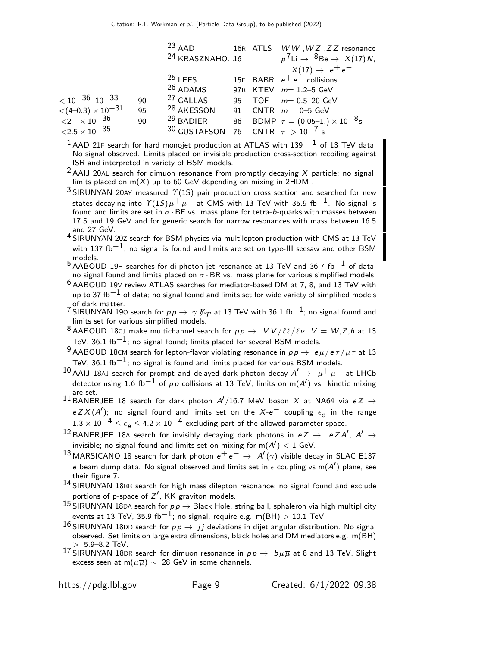| <sup>24</sup> KRASZNAHO16<br>$X(17) \rightarrow e^+e^-$<br>$25$ LEES<br>15E BABR $e^+e^-$ collisions<br>$26$ ADAMS<br>97B KTEV $m=1.2-5$ GeV<br>$<$ 10 $^{-36}$ –10 $^{-33}$<br><sup>27</sup> GALLAS<br>90<br>95 TOF $m = 0.5-20$ GeV<br>$<$ (4–0.3) $\times$ 10 <sup>–31</sup><br>$<$ 2 $\times$ 10 <sup>–36</sup><br><sup>28</sup> AKESSON<br>95<br>91 CNTR $m = 0-5$ GeV<br>$29$ BADIER<br>86 BDMP $\tau = (0.05-1.) \times 10^{-8}$ s<br>90<br><sup>30</sup> GUSTAFSON 76 CNTR $\tau > 10^{-7}$ s |                        | $^{23}$ AAD |  | 16R ATLS WW, WZ, ZZ resonance                             |
|-------------------------------------------------------------------------------------------------------------------------------------------------------------------------------------------------------------------------------------------------------------------------------------------------------------------------------------------------------------------------------------------------------------------------------------------------------------------------------------------------------|------------------------|-------------|--|-----------------------------------------------------------|
|                                                                                                                                                                                                                                                                                                                                                                                                                                                                                                       |                        |             |  | $p^7$ Li $\rightarrow$ ${}^8$ Be $\rightarrow$ $X(17)N$ , |
|                                                                                                                                                                                                                                                                                                                                                                                                                                                                                                       |                        |             |  |                                                           |
|                                                                                                                                                                                                                                                                                                                                                                                                                                                                                                       |                        |             |  |                                                           |
|                                                                                                                                                                                                                                                                                                                                                                                                                                                                                                       |                        |             |  |                                                           |
|                                                                                                                                                                                                                                                                                                                                                                                                                                                                                                       |                        |             |  |                                                           |
|                                                                                                                                                                                                                                                                                                                                                                                                                                                                                                       |                        |             |  |                                                           |
|                                                                                                                                                                                                                                                                                                                                                                                                                                                                                                       |                        |             |  |                                                           |
|                                                                                                                                                                                                                                                                                                                                                                                                                                                                                                       | ${<}2.5\times10^{-35}$ |             |  |                                                           |

 $1$  AAD 21F search for hard monojet production at ATLAS with 139  $^{-1}$  of 13 TeV data. No signal observed. Limits placed on invisible production cross-section recoiling against ISR and interpreted in variety of BSM models.

 $^2$ AAIJ 20AL search for dimuon resonance from promptly decaying X particle; no signal; limits placed on m $(X)$  up to 60 GeV depending on mixing in 2HDM .

 $3$  SIRUNYAN 20AY measured  $\Upsilon(1S)$  pair production cross section and searched for new states decaying into  $\varUpsilon(1S)\mu^+\mu^-$  at CMS with 13 TeV with 35.9 fb $^{-1}$ . No signal is found and limits are set in  $\sigma \cdot$  BF vs. mass plane for tetra-*b*-quarks with masses between 17.5 and 19 GeV and for generic search for narrow resonances with mass between 16.5 and 27 GeV.

4 SIRUNYAN 20<sup>Z</sup> search for BSM physics via multilepton production with CMS at 13 TeV with 137 fb<sup>-1</sup>; no signal is found and limits are set on type-III seesaw and other BSM

models. 5 AABOUD 19<sup>H</sup> searches for di-photon-jet resonance at 13 TeV and 36.7 fb−1 of data; no signal found and limits placed on  $\sigma$  BR vs. mass plane for various simplified models.

 $6$  AABOUD 19V review ATLAS searches for mediator-based DM at 7, 8, and 13 TeV with up to 37 fb $^{-1}$  of data; no signal found and limits set for wide variety of simplified models of dark matter.

- <sup>7</sup> SIRUNYAN 190 search for  $pp \rightarrow \gamma E_T$  at 13 TeV with 36.1 fb $^{-1}$ ; no signal found and limits set for various simplified models.
- 8 AABOUD 18CJ make multichannel search for  $pp \rightarrow VV/l\ell/\ell\nu$ ,  $V = W, Z, h$  at 13 TeV, 36.1 fb<sup>-1</sup>; no signal found; limits placed for several BSM models.

9 AABOUD 18CM search for lepton-flavor violating resonance in  $pp \to e \mu /e \tau / \mu \tau$  at 13 TeV, 36.1 fb $^{-1}$ ; no signal is found and limits placed for various BSM models.

10 AAIJ 18AJ search for prompt and delayed dark photon decay  $A' \rightarrow \mu^+ \mu^-$  at LHCb detector using 1.6 fb $^{-1}$  of  $\rho \rho$  collisions at 13 TeV; limits on m( $A^\prime)$  vs. kinetic mixing are set.

11 BANERJEE 18 search for dark photon  $A'/16.7$  MeV boson X at NA64 via  $eZ \rightarrow$  $e Z X (A')$ ; no signal found and limits set on the  $X-e^-$  coupling  $\epsilon_e$  in the range  $1.3 \times 10^{-4} \leq \epsilon_{\rho} \leq 4.2 \times 10^{-4}$  excluding part of the allowed parameter space.

- $^{12}$ BANERJEE 18A search for invisibly decaying dark photons in  $eZ$   $\rightarrow$   $e Z A',$   $A'$   $\rightarrow$ invisible; no signal found and limits set on mixing for  $m(A') < 1$  GeV.
- $^{13}$ MARSICANO 18 search for dark photon  $e^+ \, e^- \rightarrow \ A'(\gamma)$  visible decay in SLAC E137 e beam dump data. No signal observed and limits set in  $\epsilon$  coupling vs m(A $^\prime)$  plane, see their figure 7.
- 14 SIRUNYAN 18BB search for high mass dilepton resonance; no signal found and exclude portions of p-space of  $Z'$ , KK graviton models.
- 15 SIRUNYAN 18DA search for  $p \rightarrow B$ lack Hole, string ball, sphaleron via high multiplicity events at 13 TeV, 35.9 fb<sup>-1</sup>; no signal, require e.g. m(BH) > 10.1 TeV.
- 16 SIRUNYAN 18DD search for  $pp \rightarrow jj$  deviations in dijet angular distribution. No signal observed. Set limits on large extra dimensions, black holes and DM mediators e.g. m(BH)  $> 5.9 - 8.2$  TeV.
- 17 SIRUNYAN 18DR search for dimuon resonance in  $p p \to b \mu \overline{\mu}$  at 8 and 13 TeV. Slight excess seen at m( $\mu \overline{\mu}$ ) ~ 28 GeV in some channels.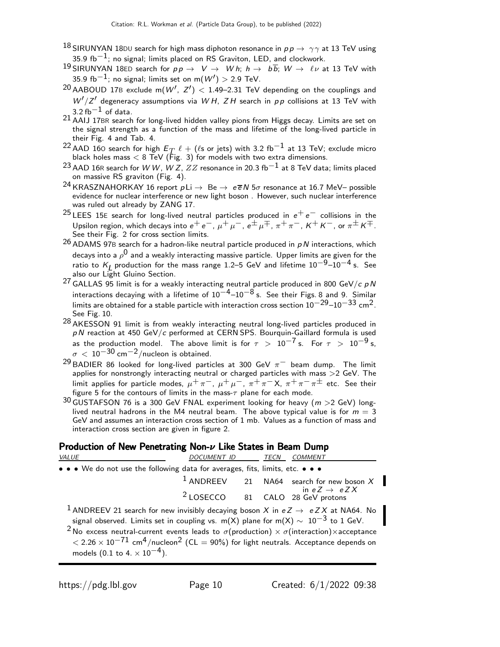- 18 SIRUNYAN 18DU search for high mass diphoton resonance in  $p p \rightarrow \gamma \gamma$  at 13 TeV using 35.9 fb−1; no signal; limits placed on RS Graviton, LED, and clockwork.
- 19 SIRUNYAN 18ED search for  $pp \to V \to W h$ ;  $h \to b\overline{b}$ ;  $W \to \ell \nu$  at 13 TeV with 35.9 fb $^{-1}$ ; no signal; limits set on m $(\mathcal{W}')>$  2.9 TeV.
- $^{20}$  AABOUD 17B exclude m $(W',\ Z') <$  1.49–2.31 TeV depending on the couplings and  $W'/Z'$  degeneracy assumptions via  $WH$ ,  $ZH$  search in  $pp$  collisions at 13 TeV with  $3.2\,\mathrm{fb}^{-1}$  of data.
- 21 AAIJ 17BR search for long-lived hidden valley pions from Higgs decay. Limits are set on the signal strength as a function of the mass and lifetime of the long-lived particle in their Fig. 4 and Tab. 4.
- <sup>22</sup> AAD 160 search for high  $E_T$   $\ell$  + ( $\ell$ s or jets) with 3.2 fb<sup>-1</sup> at 13 TeV; exclude micro black holes mass  $< 8$  TeV (Fig. 3) for models with two extra dimensions.
- $^{23}$  AAD 16R search for W W, W Z,  $ZZ$  resonance in 20.3 fb $^{-1}$  at 8 TeV data; limits placed on massive RS graviton (Fig. 4).
- <sup>24</sup> KRASZNAHORKAY 16 report  $pLi \rightarrow Be \rightarrow e\overline{e}N 5\sigma$  resonance at 16.7 MeV– possible evidence for nuclear interference or new light boson . However, such nuclear interference was ruled out already by ZANG 17.
- <sup>25</sup> LEES 15E search for long-lived neutral particles produced in  $e^+e^-$  collisions in the Upsilon region, which decays into  $e^+e^-$ ,  $\mu^+\mu^-$ ,  $e^{\pm}\mu^{\mp}$ ,  $\pi^+\pi^-$ ,  $K^+K^-$ , or  $\pi^{\pm}K^{\mp}$ . See their Fig. 2 for cross section limits.
- $26$  ADAMS 97B search for a hadron-like neutral particle produced in pN interactions, which decays into a  $\rho^{\bm{0}}$  and a weakly interacting massive particle. Upper limits are given for the ratio to  $K_L$  production for the mass range 1.2–5 GeV and lifetime  $10^{-9}$ – $10^{-4}$  s. See also our Light Gluino Section.
- <sup>27</sup> GALLAS 95 limit is for a weakly interacting neutral particle produced in 800 GeV/c pN interactions decaying with a lifetime of  $10^{-4}$ – $10^{-8}$  s. See their Figs. 8 and 9. Similar limits are obtained for a stable particle with interaction cross section  $10^{-29}$ – $10^{-33}$  cm<sup>2</sup>. See Fig. 10.
- 28 AKESSON 91 limit is from weakly interacting neutral long-lived particles produced in  $pN$  reaction at 450 GeV/c performed at CERN SPS. Bourquin-Gaillard formula is used as the production model. The above limit is for  $\tau > 10^{-7}$  s. For  $\tau > 10^{-9}$  s,  $\sigma$  < 10<sup>-30</sup> cm<sup>-2</sup>/nucleon is obtained.
- <sup>29</sup> BADIER 86 looked for long-lived particles at 300 GeV  $\pi^-$  beam dump. The limit applies for nonstrongly interacting neutral or charged particles with mass >2 GeV. The limit applies for particle modes,  $\mu^+\pi^-$ ,  $\mu^+\mu^-$ ,  $\pi^+\pi^-$ X,  $\pi^+\pi^-\pi^\pm$  etc. See their figure 5 for the contours of limits in the mass- $\tau$  plane for each mode.
- $30$  GUSTAFSON 76 is a 300 GeV FNAL experiment looking for heavy ( $m > 2$  GeV) longlived neutral hadrons in the M4 neutral beam. The above typical value is for  $m = 3$ GeV and assumes an interaction cross section of 1 mb. Values as a function of mass and interaction cross section are given in figure 2.

#### Production of New Penetrating Non- $\nu$  Like States in Beam Dump

| <i>VALUE</i>                                                                                                          | DOCUMENT ID TECN COMMENT |  |                                                               |
|-----------------------------------------------------------------------------------------------------------------------|--------------------------|--|---------------------------------------------------------------|
| $\bullet \bullet \bullet$ We do not use the following data for averages, fits, limits, etc. $\bullet \bullet \bullet$ |                          |  |                                                               |
|                                                                                                                       |                          |  | $1$ ANDREEV 21 NA64 search for new boson X                    |
|                                                                                                                       |                          |  | in $eZ \rightarrow eZX$<br>$2$ LOSECCO 81 CALO 28 GeV protons |
| <sup>1</sup> ANDREEV 21 search for new invisibly decaying boson X in $eZ \rightarrow eZX$ at NA64. No                 |                          |  |                                                               |
| signal observed. Limits set in coupling vs. m(X) plane for m(X) $\sim 10^{-3}$ to 1 GeV.                              |                          |  |                                                               |

<sup>2</sup> No excess neutral-current events leads to  $\sigma$ (production)  $\times$   $\sigma$ (interaction) $\times$ acceptance  $< 2.26 \times 10^{-71}$  cm<sup>4</sup>/nucleon<sup>2</sup> (CL = 90%) for light neutrals. Acceptance depends on models  $(0.1 \text{ to } 4. \times 10^{-4})$ .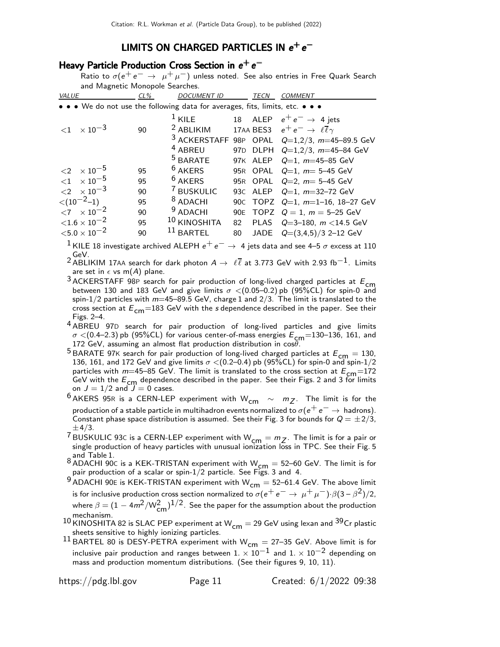# LIMITS ON CHARGED PARTICLES IN  $e^+e^-$

# Heavy Particle Production Cross Section in  $e^+ \, e^-$

Ratio to  $\sigma(e^+e^- \rightarrow \mu^+\mu^-)$  unless noted. See also entries in Free Quark Search and Magnetic Monopole Searches.

| VALUE                                                                         | $CL\%$ | <b>DOCUMENT ID</b>      |     | <b>TECN</b> | <b>COMMENT</b>                                             |
|-------------------------------------------------------------------------------|--------|-------------------------|-----|-------------|------------------------------------------------------------|
| • • • We do not use the following data for averages, fits, limits, etc. • • • |        |                         |     |             |                                                            |
|                                                                               |        | $1$ KILE                |     |             | 18 ALEP $e^+e^- \rightarrow 4$ jets                        |
| $\langle 1 \times 10^{-3} \rangle$                                            | 90     | $2$ ABLIKIM             |     |             | 17AA BES3 $e^+e^- \rightarrow \ell \overline{\ell} \gamma$ |
|                                                                               |        | 3 ACKERSTAFF 98P OPAL   |     |             | $Q=1,2/3$ , $m=45-89.5$ GeV                                |
|                                                                               |        | <sup>4</sup> ABREU      |     | 97D DLPH    | $Q=1,2/3$ , $m=45-84$ GeV                                  |
|                                                                               |        | <sup>5</sup> BARATE     |     | 97K ALEP    | $Q=1$ , $m=45-85$ GeV                                      |
| $\langle 2 \times 10^{-5} \rangle$                                            | 95     | $6$ AKERS               |     | 95R OPAL    | $Q=1$ , $m=5-45$ GeV                                       |
| ${1 \times 10^{-5}}$                                                          | 95     | $6$ AKERS               |     |             | 95R OPAL $Q=2$ , $m=5-45$ GeV                              |
| $\langle 2 \times 10^{-3} \rangle$                                            | 90     | <sup>7</sup> BUSKULIC   |     |             | 93C ALEP Q=1, m=32-72 GeV                                  |
| $< (10^{-2}-1)$                                                               | 95     | <sup>8</sup> ADACHI     |     |             | 90c TOPZ Q=1, m=1-16, 18-27 GeV                            |
| $\langle 7 \times 10^{-2} \rangle$                                            | 90     | <sup>9</sup> ADACHI     | 90E |             | TOPZ $Q = 1$ , $m = 5-25$ GeV                              |
| ${<}1.6 \times 10^{-2}$                                                       | 95     | <sup>10</sup> KINOSHITA | 82  |             | PLAS $Q=3-180$ , $m < 14.5$ GeV                            |
| ${<}5.0 \times 10^{-2}$                                                       | 90     | $11$ BARTEL             | 80  |             | JADE $Q=(3,4,5)/3$ 2-12 GeV                                |

<sup>1</sup> KILE 18 investigate archived ALEPH  $e^+e^-$  → 4 jets data and see 4–5  $\sigma$  excess at 110 \_GeV.<br><sup>2</sup> ABLIKIM 17AA search for dark photon A → ℓℓ at 3.773 GeV with 2.93 fb $^{-1}$ . Limits

are set in  $\epsilon$  vs m(A) plane.

- $3$  ACKERSTAFF 98P search for pair production of long-lived charged particles at  $E_{cm}$ between 130 and 183 GeV and give limits  $\sigma < (0.05-0.2)$  pb (95%CL) for spin-0 and spin-1/2 particles with  $m=45-89.5$  GeV, charge 1 and  $2/3$ . The limit is translated to the cross section at  $E_{cm}$ =183 GeV with the *s* dependence described in the paper. See their Figs. 2–4.
- 4 ABREU 97D search for pair production of long-lived particles and give limits  $\sigma$  <(0.4–2.3) pb (95%CL) for various center-of-mass energies  $E_{\rm cm}$ =130–136, 161, and 172 GeV, assuming an almost flat production distribution in  $\cos\theta$
- <sup>5</sup> BARATE 97K search for pair production of long-lived charged particles at  $E_{cm} = 130$ , 136, 161, and 172 GeV and give limits  $\sigma$  < (0.2–0.4) pb (95%CL) for spin-0 and spin-1/2 particles with  $m=45-85$  GeV. The limit is translated to the cross section at  $E_{cm}=172$ GeV with the  $E_{cm}$  dependence described in the paper. See their Figs. 2 and 3 for limits on  $J = 1/2$  and  $J = 0$  cases.

 $^6$ AKERS 95R is a CERN-LEP experiment with  $\mathsf{W}_{\mathsf{cm}}$   $\;\sim\;\;m_Z.$  The limit is for the production of a stable particle in multihadron events normalized to  $\sigma(e^+e^- \to$  hadrons). Constant phase space distribution is assumed. See their Fig. 3 for bounds for  $Q = \pm 2/3$ ,  $\pm 4/3$ .

<sup>7</sup> BUSKULIC 93C is a CERN-LEP experiment with  $W_{cm} = m_Z$ . The limit is for a pair or single production of heavy particles with unusual ionization loss in TPC. See their Fig. 5

and Table 1.<br><sup>8</sup> ADACHI 90C is a KEK-TRISTAN experiment with W<sub>CM</sub> = 52–60 GeV. The limit is for<br>pair production of a scalar or spin-1/2 particle. See Figs. 3 and 4.

 $9$  ADACHI 90E is KEK-TRISTAN experiment with W<sub>cm</sub> = 52–61.4 GeV. The above limit is for inclusive production cross section normalized to  $\sigma(\mathrm{e^+ e^-} \to \mu^+ \mu^-)$ · $\beta(3-\beta^2)/2,$ where  $\beta = (1 - 4m^2/W_{\text{cm}}^2)^{1/2}$ . See the paper for the assumption about the production mechanism.

- 10 KINOSHITA 82 is SLAC PEP experiment at  $W_{cm} = 29$  GeV using lexan and  $39$ Cr plastic sheets sensitive to highly ionizing particles.
- <sup>11</sup> BARTEL 80 is DESY-PETRA experiment with  $W_{cm} = 27-35$  GeV. Above limit is for inclusive pair production and ranges between  $1. \times 10^{-1}$  and  $1. \times 10^{-2}$  depending on mass and production momentum distributions. (See their figures 9, 10, 11).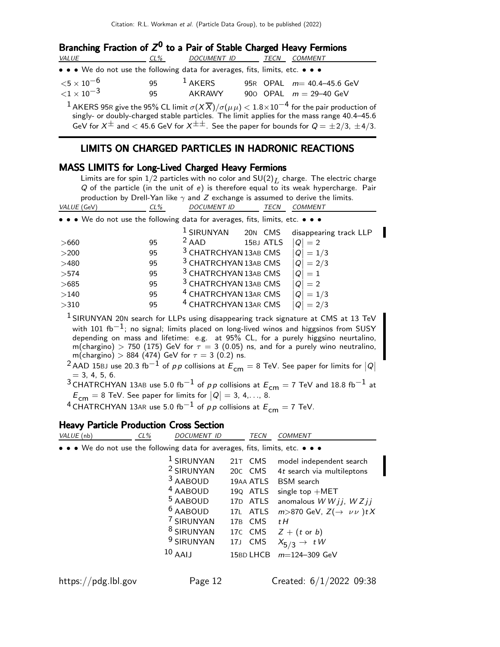| Branching Fraction of $Z^0$ to a Pair of Stable Charged Heavy Fermions        |     |                  |  |  |                                                                                                                                |  |  |  |  |
|-------------------------------------------------------------------------------|-----|------------------|--|--|--------------------------------------------------------------------------------------------------------------------------------|--|--|--|--|
| VALUE                                                                         | CL% | DOCUMENT ID TECN |  |  | COMMENT                                                                                                                        |  |  |  |  |
| • • • We do not use the following data for averages, fits, limits, etc. • • • |     |                  |  |  |                                                                                                                                |  |  |  |  |
| ${<}5\times10^{-6}$                                                           | 95  | $1$ AKERS        |  |  | 95R OPAL $m=40.4-45.6$ GeV                                                                                                     |  |  |  |  |
| $\langle 1 \times 10^{-3} \rangle$                                            | 95  | AKRAWY           |  |  | 900 OPAL $m = 29-40$ GeV                                                                                                       |  |  |  |  |
|                                                                               |     |                  |  |  | $^{-1}$ AKERS 95R give the 95% CL limit $\sigma(X\overline{X})/\sigma(\mu\mu) < 1.8 \times 10^{-4}$ for the pair production of |  |  |  |  |

singly- or doubly-charged stable particles. The limit applies for the mass range 40.4–45.6 GeV for  $X^{\pm}$  and  $<$  45.6 GeV for  $X^{\pm\pm}$ . See the paper for bounds for  $Q = \pm 2/3$ ,  $\pm 4/3$ .

#### LIMITS ON CHARGED PARTICLES IN HADRONIC REACTIONS

#### MASS LIMITS for Long-Lived Charged Heavy Fermions

Limits are for spin  $1/2$  particles with no color and  $SU(2)_L$  charge. The electric charge Q of the particle (in the unit of e) is therefore equal to its weak hypercharge. Pair production by Drell-Yan like  $\gamma$  and Z exchange is assumed to derive the limits.<br>(GeV)  $\frac{C}{C}$  (SeV)  $\frac{C}{C}$ VALUE (GeV) CL% DOCUMENT ID TECN COMMENT

|  | $\sim$ $\sim$ $\sim$ $\sim$ | $D^{\cup}$                                                                                                            |  |
|--|-----------------------------|-----------------------------------------------------------------------------------------------------------------------|--|
|  |                             |                                                                                                                       |  |
|  |                             | $\bullet \bullet \bullet$ We do not use the following data for averages, fits, limits, etc. $\bullet \bullet \bullet$ |  |

|        |    | <sup>1</sup> SIRUNYAN            | 20N CMS   | disappearing track LLP |
|--------|----|----------------------------------|-----------|------------------------|
| >660   | 95 | $2$ AAD                          | 15BJ ATLS | $= 2$                  |
| >200   | 95 | <sup>3</sup> CHATRCHYAN 13AB CMS |           | $= 1/3$                |
| >480   | 95 | <sup>3</sup> CHATRCHYAN 13AB CMS |           | $= 2/3$                |
| >574   | 95 | <sup>3</sup> CHATRCHYAN 13AB CMS |           | $= 1$                  |
| >685   | 95 | <sup>3</sup> CHATRCHYAN 13AB CMS |           | $= 2$                  |
| $>140$ | 95 | <sup>4</sup> CHATRCHYAN 13AR CMS |           | $=1/3$                 |
| >310   | 95 | <sup>4</sup> CHATRCHYAN 13AR CMS |           | 2/3                    |
|        |    |                                  |           |                        |

<sup>1</sup> SIRUNYAN 20N search for LLPs using disappearing track signature at CMS at 13 TeV with 101 fb<sup>-1</sup>; no signal; limits placed on long-lived winos and higgsinos from SUSY depending on mass and lifetime: e.g. at 95% CL, for a purely higgsino neurtalino, m(chargino)  $> 750$  (175) GeV for  $\tau = 3$  (0.05) ns, and for a purely wino neutralino, m(chargino)  $> 884$  (474) GeV for  $\tau=3$  (0.2) ns.

<sup>2</sup> AAD 15BJ use 20.3 fb $^{-1}$  of pp collisions at  $E_{\textsf{cm}}=8$  TeV. See paper for limits for  $|Q|$  $= 3, 4, 5, 6.$ 

<sup>3</sup> CHATRCHYAN 13AB use 5.0 fb<sup>-1</sup> of pp collisions at  $E_{cm} = 7$  TeV and 18.8 fb<sup>-1</sup> at  $E_{\text{cm}} = 8$  TeV. See paper for limits for  $|Q| = 3, 4, \ldots, 8$ .

<sup>4</sup> CHATRCHYAN 13AR use 5.0 fb<sup>-1</sup> of pp collisions at  $E_{cm} = 7$  TeV.

# **Heavy Particle Production Cross Section**<br>*VALUE CRN*

| VALUE (nb)                                                                    | CL% | DOCUMENT ID                                                                                                                                                                                           |             | TECN                                                                                                                    | <b>COMMENT</b>                                                                                                                                                                                                                                            |
|-------------------------------------------------------------------------------|-----|-------------------------------------------------------------------------------------------------------------------------------------------------------------------------------------------------------|-------------|-------------------------------------------------------------------------------------------------------------------------|-----------------------------------------------------------------------------------------------------------------------------------------------------------------------------------------------------------------------------------------------------------|
| • • • We do not use the following data for averages, fits, limits, etc. • • • |     |                                                                                                                                                                                                       |             |                                                                                                                         |                                                                                                                                                                                                                                                           |
|                                                                               |     | $1$ SIRUNYAN<br><sup>2</sup> SIRUNYAN<br><sup>3</sup> AABOUD<br><sup>4</sup> AABOUD<br><sup>5</sup> AABOUD<br>$6$ AABOUD<br>7 SIRUNYAN<br><sup>8</sup> SIRUNYAN<br><sup>9</sup> SIRUNYAN<br>$10$ AAIJ | 17B<br>17 J | 21T CMS<br>20C CMS<br>19AA ATLS<br>190 ATLS<br>17D ATLS<br>17L ATLS<br><b>CMS</b><br>17C CMS<br><b>CMS</b><br>15BD LHCB | model independent search<br>4t search via multileptons<br><b>BSM</b> search<br>single top $+MET$<br>anomalous $WWjj, WZjj$<br>$m > 870$ GeV, $Z(\rightarrow \nu \nu)$ t X<br>tΗ<br>$Z + (t \text{ or } b)$<br>$X_{5/3} \rightarrow tW$<br>$m=124-309$ GeV |
|                                                                               |     |                                                                                                                                                                                                       |             |                                                                                                                         |                                                                                                                                                                                                                                                           |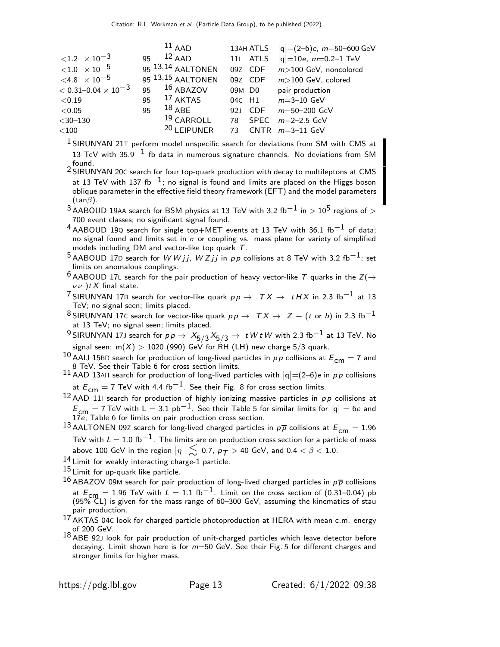|                                      |    | $11$ AAD                     |        | 13AH ATLS | $ q  = (2-6)e$ , m=50-600 GeV     |
|--------------------------------------|----|------------------------------|--------|-----------|-----------------------------------|
| $\langle 1.2 \times 10^{-3} \rangle$ | 95 | $12$ AAD                     |        |           | 11 ATLS $ q =10e$ , $m=0.2-1$ TeV |
| $<$ 1.0 $\times$ 10 $^{-5}$          |    | 95 <sup>13,14</sup> AALTONEN |        | 09Z CDF   | $m$ > 100 GeV, noncolored         |
| $< 4.8 \times 10^{-5}$               |    | 95 <sup>13,15</sup> AALTONEN |        | 09Z CDF   | $m$ > 100 GeV, colored            |
| $<$ 0.31–0.04 $\times$ 10 $^{-3}$    | 95 | $16$ ABAZOV                  | 09M D0 |           | pair production                   |
| < 0.19                               | 95 | $^{17}$ AKTAS                |        | 04c H1    | $m = 3 - 10$ GeV                  |
| < 0.05                               | 95 | $18$ ABE                     | 921    |           | $CDF$ $m=50-200$ GeV              |
| $<$ 30-130                           |    | <sup>19</sup> CARROLL        | 78     | SPEC      | $m=2-2.5$ GeV                     |
| $<$ 100                              |    | <sup>20</sup> LEIPUNER       | 73     |           | CNTR $m=3-11$ GeV                 |

<sup>1</sup> SIRUNYAN 21T perform model unspecific search for deviations from SM with CMS at 13 TeV with 35.9<sup>-1</sup> fb data in numerous signature channels. No deviations from SM found.

2 SIRUNYAN 20<sup>C</sup> search for four top-quark production with decay to multileptons at CMS at 13 TeV with 137 fb $^{-1}$ ; no signal is found and limits are placed on the Higgs boson oblique parameter in the effective field theory framework (EFT) and the model parameters  $(tan\beta)$ .

 $3$  AABOUD 19AA search for BSM physics at 13 TeV with 3.2 fb<sup>-1</sup> in > 10<sup>5</sup> regions of > 700 event classes; no significant signal found.

 $4$  AABOUD 19Q search for single top+MET events at 13 TeV with 36.1 fb<sup>-1</sup> of data; no signal found and limits set in  $\sigma$  or coupling vs. mass plane for variety of simplified models including DM and vector-like top quark T.

<sup>5</sup> AABOUD 17D search for W W *i* j, W Z i j in pp collisions at 8 TeV with 3.2 fb<sup>-1</sup>; set limits on anomalous couplings.

<sup>6</sup> AABOUD 17L search for the pair production of heavy vector-like T quarks in the  $Z(\rightarrow$  $\nu \nu$ ) t X final state.

<sup>7</sup> SIRUNYAN 17B search for vector-like quark  $pp \rightarrow TX \rightarrow tH X$  in 2.3 fb<sup>-1</sup> at 13 TeV; no signal seen; limits placed.

8 SIRUNYAN 17C search for vector-like quark  $p p \rightarrow \tau X \rightarrow Z + (t \text{ or } b)$  in 2.3 fb<sup>-1</sup> at 13 TeV; no signal seen; limits placed.

 $^9$ SIRUNYAN 17J search for  $p \, p \, \rightarrow \, \, X_{5/3} \, X_{5/3} \, \rightarrow \, \, t \, W \, t \, W$  with 2.3 fb $^{-1}$  at 13 TeV. No signal seen:  $m(X) > 1020$  (990) GeV for RH (LH) new charge 5/3 quark.

10 AAIJ 15BD search for production of long-lived particles in pp collisions at  $E_{cm} = 7$  and 8 TeV. See their Table 6 for cross section limits.

11 AAD 13AH search for production of long-lived particles with  $|q| = (2-6)e$  in pp collisions at  $E_{cm} = 7$  TeV with 4.4 fb<sup>-1</sup>. See their Fig. 8 for cross section limits.

 $12$  AAD 111 search for production of highly ionizing massive particles in pp collisions at  $E_{cm} = 7$  TeV with L = 3.1 pb<sup>-1</sup>. See their Table 5 for similar limits for  $|q| = 6e$  and 17e, Table 6 for limits on pair production cross section.

13 AALTONEN 09Z search for long-lived charged particles in  $p\overline{p}$  collisions at  $E_{cm} = 1.96$ TeV with  $L = 1.0$  fb<sup>-1</sup>. The limits are on production cross section for a particle of mass above 100 GeV in the region  $|\eta| \, \lesssim \,$  0.7,  $\rho_{\textit{\textbf{T}}} >$  40 GeV, and 0.4  $< \beta < 1.0.$ 

14 Limit for weakly interacting charge-1 particle.

15 Limit for up-quark like particle.

<sup>16</sup> ABAZOV 09M search for pair production of long-lived charged particles in  $p\overline{p}$  collisions at  $E_{cm} = 1.96$  TeV with  $L = 1.1$  fb<sup>-1</sup>. Limit on the cross section of (0.31–0.04) pb  $(95\%$  CL) is given for the mass range of 60-300 GeV, assuming the kinematics of stau pair production.

17 AKTAS 04<sup>C</sup> look for charged particle photoproduction at HERA with mean c.m. energy of 200 GeV.

 $^{18}$  ABE 92J look for pair production of unit-charged particles which leave detector before decaying. Limit shown here is for  $m=50$  GeV. See their Fig. 5 for different charges and stronger limits for higher mass.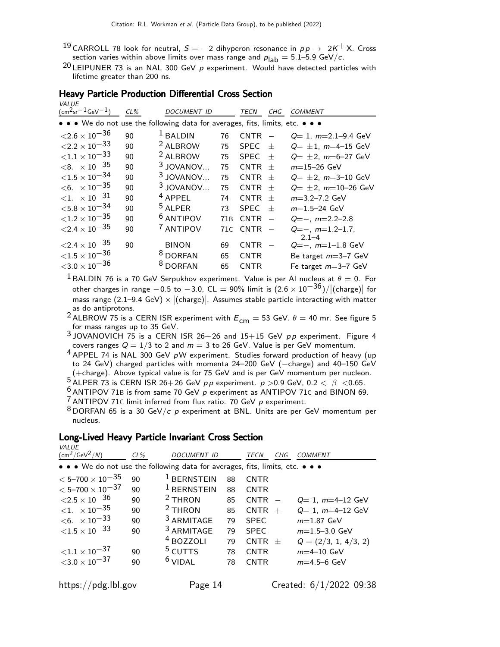- 19 CARROLL 78 look for neutral,  $S = -2$  dihyperon resonance in  $pp \rightarrow 2K^{+}X$ . Cross section varies within above limits over mass range and  $p_{\vert ab} = 5.1 - 5.9 \text{ GeV}/c$ .
- <sup>20</sup> LEIPUNER 73 is an NAL 300 GeV  $p$  experiment. Would have detected particles with lifetime greater than 200 ns.

| VALUE                                                                                                                 |        |                                                      |                |                                           |     |                                                                      |
|-----------------------------------------------------------------------------------------------------------------------|--------|------------------------------------------------------|----------------|-------------------------------------------|-----|----------------------------------------------------------------------|
| $(\text{cm}^2 \text{sr}^{-1} \text{GeV}^{-1})$                                                                        | $CL\%$ | <b>DOCUMENT ID</b>                                   |                | TECN                                      | CHG | <b>COMMENT</b>                                                       |
| $\bullet \bullet \bullet$ We do not use the following data for averages, fits, limits, etc. $\bullet \bullet \bullet$ |        |                                                      |                |                                           |     |                                                                      |
| ${<}2.6\times10^{-36}$                                                                                                | 90     | $1$ BALDIN                                           | 76             | <b>CNTR</b>                               |     | $Q=1$ , $m=2.1-9.4$ GeV                                              |
| $\langle 2.2 \times 10^{-33} \rangle$                                                                                 | 90     | <sup>2</sup> ALBROW                                  | 75             | <b>SPEC</b>                               | $+$ | $Q = \pm 1$ , m=4-15 GeV                                             |
| ${<}1.1 \times 10^{-33}$                                                                                              | 90     | <sup>2</sup> ALBROW                                  | 75             | <b>SPEC</b>                               | $+$ | $Q = \pm 2$ , m=6-27 GeV                                             |
| $< 8. \times 10^{-35}$                                                                                                | 90     | $3$ JOVANOV                                          | 75             | $CNTR +$                                  |     | $m=15-26$ GeV                                                        |
| ${<}1.5\times10^{-34}$                                                                                                | 90     | $3$ JOVANOV                                          | 75             | $CNTR +$                                  |     | $Q = \pm 2$ , $m = 3 - 10$ GeV                                       |
| $< 6. \times 10^{-35}$                                                                                                | 90     | $3$ JOVANOV                                          | 75             | $CNTR +$                                  |     | $Q = \pm 2$ , $m=10-26$ GeV                                          |
| $\langle 1. \ \times 10^{-31} \rangle$                                                                                | 90     | $4$ APPEL                                            | 74             | $CNTR +$                                  |     | $m=3.2-7.2$ GeV                                                      |
| ${<}5.8\times10^{-34}$                                                                                                | 90     | <sup>5</sup> ALPER                                   | 73             | <b>SPEC</b>                               | $+$ | $m=1.5-24$ GeV                                                       |
| ${<}1.2 \times 10^{-35}$                                                                                              | 90     | <sup>6</sup> ANTIPOV                                 | 71B            | <b>CNTR</b>                               |     | $Q=-, m=2.2-2.8$                                                     |
| ${<}2.4\times10^{-35}$                                                                                                | 90     | <sup>7</sup> ANTIPOV                                 |                | 71 $C$ CNTR $-$                           |     | $Q=-$ , $m=1.2-1.7$ ,<br>$2.1 - 4$                                   |
| ${<}2.4\times10^{-35}$<br>${<}1.5\times10^{-36}$<br>${<}3.0\times10^{-36}$                                            | 90     | <b>BINON</b><br><sup>8</sup> DORFAN<br><b>DORFAN</b> | 69<br>65<br>65 | <b>CNTR</b><br><b>CNTR</b><br><b>CNTR</b> |     | $Q=-, m=1-1.8$ GeV<br>Be target $m=3-7$ GeV<br>Fe target $m=3-7$ GeV |
|                                                                                                                       |        |                                                      |                |                                           |     |                                                                      |

## Heavy Particle Production Differential Cross Section

<sup>1</sup> BALDIN 76 is a 70 GeV Serpukhov experiment. Value is per Al nucleus at  $\theta = 0$ . For other charges in range  $-0.5$  to  $-3.0$ , CL  $= 90\%$  limit is  $(2.6 \times 10^{-36})/|({\text{charge}})|$  for  $\overline{\phantom{a}}$ mass range  $(2.1-9.4 \text{ GeV}) \times |(\text{charge})|$ . Assumes stable particle interacting with matter as do antiprotons.

<sup>2</sup> ALBROW 75 is a CERN ISR experiment with  $E_{cm} = 53$  GeV.  $\theta = 40$  mr. See figure 5 for mass ranges up to 35 GeV.

 $3$  JOVANOVICH 75 is a CERN ISR 26+26 and 15+15 GeV  $pp$  experiment. Figure 4 covers ranges  $Q = 1/3$  to 2 and  $m = 3$  to 26 GeV. Value is per GeV momentum.

4 APPEL 74 is NAL 300 GeV pW experiment. Studies forward production of heavy (up to 24 GeV) charged particles with momenta 24–200 GeV (-charge) and 40-150 GeV (+charge). Above typical value is for 75 GeV and is per GeV momentum per nucleon.

 $^{5}$  ALPER 73 is CERN ISR 26+26 GeV pp experiment. p >0.9 GeV, 0.2 <  $\beta$  <0.65.

 $\frac{6}{5}$  ANTIPOV 71B is from same 70 GeV  $p$  experiment as ANTIPOV 71C and BINON 69.

 $7$  ANTIPOV 71C limit inferred from flux ratio. 70 GeV  $p$  experiment.

 $8$  DORFAN 65 is a 30 GeV/c p experiment at BNL. Units are per GeV momentum per nucleus.

## Long-Lived Heavy Particle Invariant Cross Section

| $CL\%$ | <b>DOCUMENT ID</b>     |                                                                          | TECN        | CHG | <i>COMMENT</i>                                                                                   |
|--------|------------------------|--------------------------------------------------------------------------|-------------|-----|--------------------------------------------------------------------------------------------------|
|        |                        |                                                                          |             |     |                                                                                                  |
| 90     | <sup>1</sup> BERNSTEIN | 88                                                                       | <b>CNTR</b> |     |                                                                                                  |
| 90     |                        | 88                                                                       | <b>CNTR</b> |     |                                                                                                  |
| 90     | $2$ THRON              | 85                                                                       | <b>CNTR</b> |     | $Q=1$ , $m=4-12$ GeV                                                                             |
| 90     | $2$ THRON              | 85                                                                       |             |     | $Q=1$ , $m=4-12$ GeV                                                                             |
| 90     | <sup>3</sup> ARMITAGE  | 79                                                                       | <b>SPEC</b> |     | $m=1.87$ GeV                                                                                     |
| 90     | <sup>3</sup> ARMITAGE  | 79                                                                       | <b>SPEC</b> |     | $m=1.5-3.0$ GeV                                                                                  |
|        |                        | 79                                                                       | <b>CNTR</b> |     | $Q = (2/3, 1, 4/3, 2)$                                                                           |
| 90     |                        | 78                                                                       | <b>CNTR</b> |     | $m=4-10$ GeV                                                                                     |
| 90     |                        | 78                                                                       | <b>CNTR</b> |     | $m=4.5-6$ GeV                                                                                    |
|        |                        | $1$ BERNSTEIN<br><sup>4</sup> BOZZOLI<br><sup>5</sup> CUTTS<br>$6$ VIDAL |             |     | • • • We do not use the following data for averages, fits, limits, etc. • • •<br>$CNTR +$<br>$+$ |

**VALUE**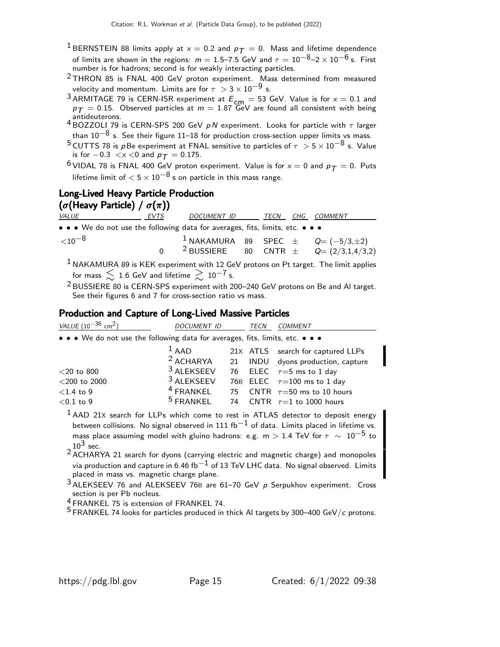- <sup>1</sup> BERNSTEIN 88 limits apply at  $x = 0.2$  and  $p_T = 0$ . Mass and lifetime dependence of limits are shown in the regions:  $m = 1.5$ –7.5 GeV and  $\tau = 10^{-8}$ –2 ×  $10^{-6}$  s. First number is for hadrons; second is for weakly interacting particles.
- $2$  THRON 85 is FNAL 400 GeV proton experiment. Mass determined from measured velocity and momentum. Limits are for  $\tau > 3 \times 10^{-9}$  s.
- <sup>3</sup> ARMITAGE 79 is CERN-ISR experiment at  $E_{cm} = 53$  GeV. Value is for  $x = 0.1$  and  $p_\mathcal{T} = 0.15$ . Observed particles at  $m = 1.87$  GeV are found all consistent with being
- antideuterons.<br><sup>4</sup> BOZZOLI 79 is CERN-SPS 200 GeV *p N* experiment. Looks for particle with  $\tau$  larger than  $10^{-8}$  s. See their figure 11–18 for production cross-section upper limits vs mass.
- <sup>5</sup> CUTTS 78 is p Be experiment at FNAL sensitive to particles of  $\tau > 5 \times 10^{-8}$  s. Value is for  $-0.3 < x < 0$  and  $p_T = 0.175$ .
- <sup>6</sup> VIDAL 78 is FNAL 400 GeV proton experiment. Value is for  $x = 0$  and  $p_T = 0$ . Puts lifetime limit of  $< 5 \times 10^{-8}$  s on particle in this mass range.

# Long-Lived Heavy Particle Production ( $\sigma$ (Heavy Particle) /  $\sigma(\pi)$ )

| <i>VALUE</i>                                                                  | EVTS | DOCUMENT ID |  | TECN CHG COMMENT                                       |
|-------------------------------------------------------------------------------|------|-------------|--|--------------------------------------------------------|
| • • • We do not use the following data for averages, fits, limits, etc. • • • |      |             |  |                                                        |
| ${<}10^{-8}$                                                                  |      |             |  | <sup>1</sup> NAKAMURA 89 SPEC $\pm$ Q $( -5/3, \pm 2)$ |
|                                                                               |      |             |  | <sup>2</sup> BUSSIERE 80 CNTR $\pm$ Q= (2/3,1,4/3,2)   |

 $<sup>1</sup>$  NAKAMURA 89 is KEK experiment with 12 GeV protons on Pt target. The limit applies</sup> for mass  $\lesssim 1.6$  GeV and lifetime  $\gtrsim 10^{-7}$  s.

2 BUSSIERE 80 is CERN-SPS experiment with 200–240 GeV protons on Be and Al target. See their figures 6 and 7 for cross-section ratio vs mass.

## Production and Capture of Long-Lived Massive Particles

| VALUE $(10^{-36}$ cm <sup>2</sup> )                                                                                                                                                                                                  | DOCUMENT ID           |    | TECN | <b>COMMENT</b>                                                                              |
|--------------------------------------------------------------------------------------------------------------------------------------------------------------------------------------------------------------------------------------|-----------------------|----|------|---------------------------------------------------------------------------------------------|
| • • • We do not use the following data for averages, fits, limits, etc. • • •                                                                                                                                                        |                       |    |      |                                                                                             |
|                                                                                                                                                                                                                                      | $1$ AAD               |    |      | 21X ATLS search for captured LLPs                                                           |
|                                                                                                                                                                                                                                      | <sup>2</sup> ACHARYA  | 21 |      | INDU dyons production, capture                                                              |
| $<$ 20 to 800                                                                                                                                                                                                                        | <sup>3</sup> ALEKSEEV |    |      | 76 ELEC $\tau=5$ ms to 1 day                                                                |
| $<$ 200 to 2000                                                                                                                                                                                                                      | <sup>3</sup> ALEKSEEV |    |      | 76B ELEC $\tau=100$ ms to 1 day                                                             |
| $<$ 1.4 to 9                                                                                                                                                                                                                         | $4$ FRANKEL           |    |      | 75 CNTR $\tau = 50$ ms to 10 hours                                                          |
| $<$ 0.1 to 9                                                                                                                                                                                                                         | $5$ FRANKEL           |    |      | 74 CNTR $\tau=1$ to 1000 hours                                                              |
| $\frac{1}{1}$ . The state of the state of $\frac{1}{1}$ can be stated in the state of the state of the state of the state of the state of the state of the state of the state of the state of the state of the state of the state of |                       |    |      | <sup>1</sup> AAD 21X search for LLPs which come to rest in ATLAS detector to deposit energy |

between collisions. No signal observed in 111 fb<sup>-1</sup> of data. Limits placed in lifetime vs. mass place assuming model with gluino hadrons: e.g. m > 1.4 TeV for  $\tau \sim 10^{-5}$  to  $10^3$  sec.

<sup>2</sup> ACHARYA 21 search for dyons (carrying electric and magnetic charge) and monopoles via production and capture in 6.46 fb<sup>-1</sup> of 13 TeV LHC data. No signal observed. Limits placed in mass vs. magnetic charge plane.

3 ALEKSEEV 76 and ALEKSEEV 76<sup>B</sup> are 61–70 GeV p Serpukhov experiment. Cross section is per Pb nucleus.

4 FRANKEL 75 is extension of FRANKEL 74.

 $5$  FRANKEL 74 looks for particles produced in thick AI targets by 300–400 GeV/c protons.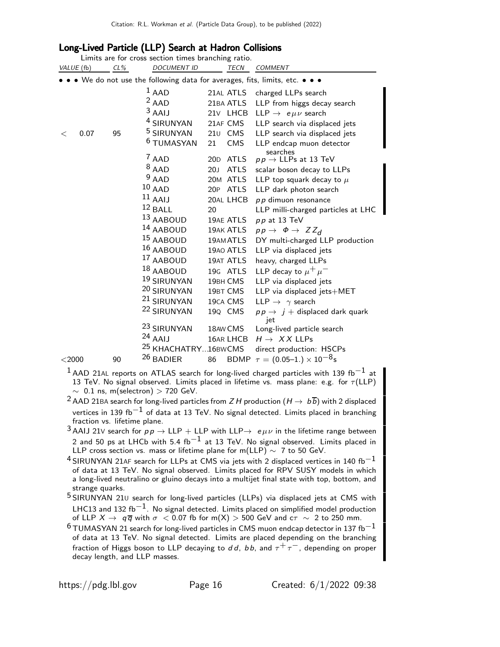# Long-Lived Particle (LLP) Search at Hadron Collisions

| VALUE (fb) |      | $CL\%$ | Limits are for cross section times branching ratio.<br><b>DOCUMENT ID</b> |     | <b>TECN</b>            | <b>COMMENT</b>                                                              |
|------------|------|--------|---------------------------------------------------------------------------|-----|------------------------|-----------------------------------------------------------------------------|
|            |      |        |                                                                           |     |                        | • • We do not use the following data for averages, fits, limits, etc. • • • |
|            |      |        | $1$ AAD<br>$2$ AAD                                                        |     | 21AL ATLS<br>21BA ATLS | charged LLPs search<br>LLP from higgs decay search                          |
|            |      |        | $3$ AAIJ                                                                  |     | 21v LHCB               | LLP $\rightarrow$ e $\mu\nu$ search                                         |
|            |      |        | <sup>4</sup> SIRUNYAN                                                     |     | 21AF CMS               | LLP search via displaced jets                                               |
| $\,<\,$    | 0.07 | 95     | <sup>5</sup> SIRUNYAN                                                     |     | 210 CMS                | LLP search via displaced jets                                               |
|            |      |        | <sup>6</sup> TUMASYAN                                                     | 21  | CMS                    | LLP endcap muon detector                                                    |
|            |      |        | $7$ AAD                                                                   |     | 20D ATLS               | searches<br>$p p \rightarrow$ LLPs at 13 TeV                                |
|            |      |        | $8$ AAD                                                                   | 20J | <b>ATLS</b>            | scalar boson decay to LLPs                                                  |
|            |      |        | $9$ AAD                                                                   |     | 20M ATLS               | LLP top squark decay to $\mu$                                               |
|            |      |        | $10$ AAD                                                                  |     | 20P ATLS               | LLP dark photon search                                                      |
|            |      |        | $11$ AAIJ                                                                 |     | 20AL LHCB              | $p p$ dimuon resonance                                                      |
|            |      |        | $12$ BALL                                                                 | 20  |                        | LLP milli-charged particles at LHC                                          |
|            |      |        | 13 AABOUD                                                                 |     | 19AE ATLS              | $pp$ at 13 TeV                                                              |
|            |      |        | <sup>14</sup> AABOUD                                                      |     | 19AK ATLS              | $pp \rightarrow \Phi \rightarrow ZZ_d$                                      |
|            |      |        | <sup>15</sup> AABOUD                                                      |     | 19AM ATLS              | DY multi-charged LLP production                                             |
|            |      |        | 16 AABOUD                                                                 |     | 19AO ATLS              | LLP via displaced jets                                                      |
|            |      |        | 17 AABOUD                                                                 |     | 19AT ATLS              | heavy, charged LLPs                                                         |
|            |      |        | 18 AABOUD                                                                 |     | 19G ATLS               | LLP decay to $\mu^+ \mu^-$                                                  |
|            |      |        | 19 SIRUNYAN                                                               |     | 19BH CMS               | LLP via displaced jets                                                      |
|            |      |        | 20 SIRUNYAN                                                               |     | 19BT CMS               | LLP via displaced jets+MET                                                  |
|            |      |        | <sup>21</sup> SIRUNYAN                                                    |     | 19CA CMS               | LLP $\rightarrow \gamma$ search                                             |
|            |      |        | <sup>22</sup> SIRUNYAN                                                    |     | 19Q CMS                | $pp \rightarrow j +$ displaced dark quark<br>jet                            |
|            |      |        | <sup>23</sup> SIRUNYAN                                                    |     | 18AW CMS               | Long-lived particle search                                                  |
|            |      |        | $24$ AAIJ                                                                 |     | 16AR LHCB              | $H \rightarrow XX$ LLPs                                                     |
|            |      |        | <sup>25</sup> KHACHATRY16BWCMS                                            |     |                        | direct production: HSCPs                                                    |
| $<$ 2000   |      | 90     | <sup>26</sup> BADIER                                                      | 86  |                        | BDMP $\tau = (0.05-1.) \times 10^{-8}$ s                                    |
| 1.         |      |        |                                                                           |     |                        |                                                                             |

<sup>1</sup> AAD 21AL reports on ATLAS search for long-lived charged particles with 139 fb<sup>-1</sup> at 13 TeV. No signal observed. Limits placed in lifetime vs. mass plane: e.g. for  $\tau$ (LLP)  $\sim$  0.1 ns, m(selectron) > 720 GeV.

- <sup>2</sup> AAD 21BA search for long-lived particles from Z H production  $(H \rightarrow b\overline{b})$  with 2 displaced vertices in 139 fb<sup>-1</sup> of data at 13 TeV. No signal detected. Limits placed in branching fraction vs. lifetime plane.
- <sup>3</sup> AAIJ 21V search for  $pp \rightarrow LLP + LLP$  with  $LLP \rightarrow e \mu \nu$  in the lifetime range between 2 and 50 ps at LHCb with 5.4 fb<sup>-1</sup> at 13 TeV. No signal observed. Limits placed in LLP cross section vs. mass or lifetime plane for m(LLP)  $\sim$  7 to 50 GeV.
- $^4$ SIRUNYAN 21AF search for LLPs at CMS via jets with 2 displaced vertices in 140 fb $^{-1}$ of data at 13 TeV. No signal observed. Limits placed for RPV SUSY models in which a long-lived neutralino or gluino decays into a multijet final state with top, bottom, and strange quarks.
- 5 SIRUNYAN 21<sup>U</sup> search for long-lived particles (LLPs) via displaced jets at CMS with LHC13 and 132 fb<sup>-1</sup>. No signal detected. Limits placed on simplified model production of LLP  $X \to q\overline{q}$  with  $\sigma < 0.07$  fb for m(X) > 500 GeV and  $c\tau \sim 2$  to 250 mm.
- $^6$ TUMASYAN 21 search for long-lived particles in CMS muon endcap detector in 137 fb $^{-1}$ of data at 13 TeV. No signal detected. Limits are placed depending on the branching fraction of Higgs boson to LLP decaying to dd, bb, and  $\tau^+ \tau^-$ , depending on proper decay length, and LLP masses.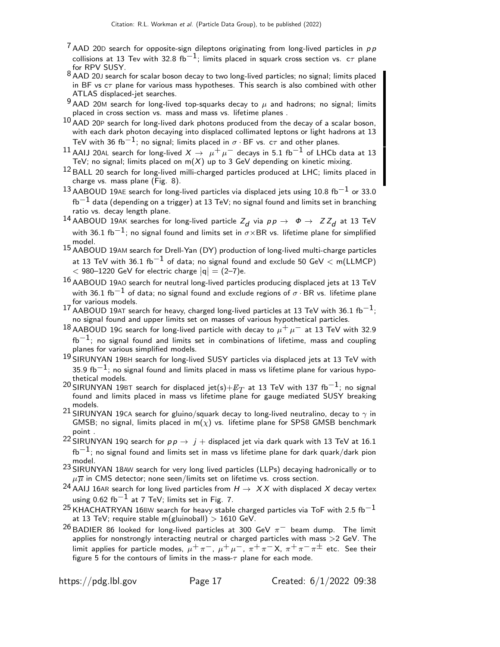- $7$  AAD 20D search for opposite-sign dileptons originating from long-lived particles in  $p p$ collisions at 13 Tev with 32.8 fb<sup>-1</sup>; limits placed in squark cross section vs. c $\tau$  plane for RPV SUSY.
- 8 AAD 20J search for scalar boson decay to two long-lived particles; no signal; limits placed in BF vs  $c\tau$  plane for various mass hypotheses. This search is also combined with other ATLAS displaced-jet searches.
- $9$  AAD 20M search for long-lived top-squarks decay to  $\mu$  and hadrons; no signal; limits placed in cross section vs. mass and mass vs. lifetime planes .
- $^{10}$  AAD 20P search for long-lived dark photons produced from the decay of a scalar boson, with each dark photon decaying into displaced collimated leptons or light hadrons at 13 TeV with 36 fb $^{-1}$ ; no signal; limits placed in  $\sigma \cdot$  BF vs.  $\,$ c $\tau$  and other planes.
- $^{11}$  AAIJ 20AL search for long-lived  $X \rightarrow \mu^+ \mu^-$  decays in 5.1 fb $^{-1}$  of LHCb data at 13 TeV; no signal; limits placed on m $(X)$  up to 3 GeV depending on kinetic mixing.
- $12$  BALL 20 search for long-lived milli-charged particles produced at LHC; limits placed in charge vs. mass plane (Fig. 8).
- $^{13}$ AABOUD 19AE search for long-lived particles via displaced jets using 10.8 fb $^{-1}$  or 33.0  $fb^{-1}$  data (depending on a trigger) at 13 TeV; no signal found and limits set in branching ratio vs. decay length plane.
- $^{14}$  AABOUD 19AK searches for long-lived particle  $Z_d$  via  $pp\rightarrow \;\;\Phi \rightarrow \;\;ZZ_d$  at 13 TeV with 36.1 fb<sup>-1</sup>; no signal found and limits set in  $\sigma \times$ BR vs. lifetime plane for simplified model.
- 15 AABOUD 19AM search for Drell-Yan (DY) production of long-lived multi-charge particles at 13 TeV with 36.1 fb<sup>-1</sup> of data; no signal found and exclude 50 GeV  $<$  m(LLMCP)  $<$  980–1220 GeV for electric charge  $|q| = (2-7)e$ .
- $16$  AABOUD 19A0 search for neutral long-lived particles producing displaced jets at 13 TeV with 36.1 fb<sup>-1</sup> of data; no signal found and exclude regions of  $\sigma \cdot BR$  vs. lifetime plane for various models.
- $17$  AABOUD 19AT search for heavy, charged long-lived particles at 13 TeV with 36.1 fb $^{-1}$ ; no signal found and upper limits set on masses of various hypothetical particles.
- 18 AABOUD 19G search for long-lived particle with decay to  $\mu^+ \mu^-$  at 13 TeV with 32.9  $fb^{-1}$ ; no signal found and limits set in combinations of lifetime, mass and coupling planes for various simplified models.
- 19 SIRUNYAN 19BH search for long-lived SUSY particles via displaced jets at 13 TeV with 35.9 fb $^{-1}$ ; no signal found and limits placed in mass vs lifetime plane for various hypothetical models.
- $^{20}$ SIRUNYAN 19BT search for displaced jet(s)+ $\not\!\! E_T$  at 13 TeV with 137 fb $^{-1}$ ; no signal found and limits placed in mass vs lifetime plane for gauge mediated SUSY breaking models.
- 21 SIRUNYAN 19CA search for gluino/squark decay to long-lived neutralino, decay to  $\gamma$  in GMSB; no signal, limits placed in m( $\chi$ ) vs. lifetime plane for SPS8 GMSB benchmark point .
- 22 SIRUNYAN 19Q search for  $pp \rightarrow j+$  displaced jet via dark quark with 13 TeV at 16.1  $fb^{-1}$ ; no signal found and limits set in mass vs lifetime plane for dark quark/dark pion model.
- 23 SIRUNYAN 18AW search for very long lived particles (LLPs) decaying hadronically or to  $\mu \overline{\mu}$  in CMS detector; none seen/limits set on lifetime vs. cross section.
- <sup>24</sup> AAIJ 16AR search for long lived particles from  $H \rightarrow X X$  with displaced X decay vertex using 0.62 fb<sup>-1</sup> at 7 TeV; limits set in Fig. 7.
- $^{25}$ KHACHATRYAN 16BW search for heavy stable charged particles via ToF with 2.5 fb<sup>-1</sup> at 13 TeV; require stable m(gluinoball)  $>$  1610 GeV.
- $26$  BADIER 86 looked for long-lived particles at 300 GeV  $\pi^-$  beam dump. The limit applies for nonstrongly interacting neutral or charged particles with mass >2 GeV. The limit applies for particle modes,  $\mu^+ \pi^-$ ,  $\mu^+ \mu^-$ ,  $\pi^+ \pi^- X$ ,  $\pi^+ \pi^- \pi^{\pm}$  etc. See their figure 5 for the contours of limits in the mass- $\tau$  plane for each mode.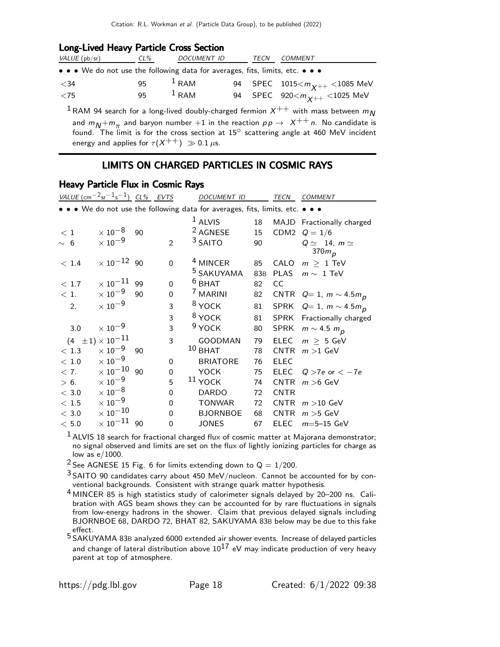## Long-Lived Heavy Particle Cross Section

| VALUE (pb/sr)                                                                 | CL% | <i>DOCUMENT ID</i> | TECN | COMMENT                                |
|-------------------------------------------------------------------------------|-----|--------------------|------|----------------------------------------|
| • • • We do not use the following data for averages, fits, limits, etc. • • • |     |                    |      |                                        |
| $<$ 34                                                                        | 95  | $1$ RAM            |      | 94 SPEC $1015 < m_{\chi++} < 1085$ MeV |
| $<$ 75                                                                        | 95. | $1$ RAM            |      | 94 SPEC 920 $< m_{\chi++} <$ 1025 MeV  |

<sup>1</sup> RAM 94 search for a long-lived doubly-charged fermion  $X^{++}$  with mass between  $m_N$ and  $m_N + m_\pi$  and baryon number  $+1$  in the reaction  $\rho \rho \rightarrow \ \chi^{++} \,$ n. No candidate is found. The limit is for the cross section at  $15^\circ$  scattering angle at 460 MeV incident energy and applies for  $\tau(X^{++}) \gg 0.1 \mu s$ .

# LIMITS ON CHARGED PARTICLES IN COSMIC RAYS

## Heavy Particle Flux in Cosmic Rays

|          | VALUE $\left(\text{cm}^{-2}\text{sr}^{-1}\text{s}^{-1}\right)$ CL% EVTS |    |          | DOCUMENT ID                                                                   |     | TECN        | <b>COMMENT</b>                          |
|----------|-------------------------------------------------------------------------|----|----------|-------------------------------------------------------------------------------|-----|-------------|-----------------------------------------|
|          |                                                                         |    |          | • • • We do not use the following data for averages, fits, limits, etc. • • • |     |             |                                         |
|          |                                                                         |    |          | $1$ ALVIS                                                                     | 18  |             | MAJD Fractionally charged               |
| $<\,1$   | $\times$ 10 $^{-8}$                                                     | 90 |          | <sup>2</sup> AGNESE                                                           | 15  |             | CDM2 $Q = 1/6$                          |
| $\sim 6$ | $\times$ 10 $^{-9}$                                                     |    | 2        | <sup>3</sup> SAITO                                                            | 90  |             | $Q \simeq 14$ , $m \simeq$<br>370 $m_p$ |
| < 1.4    | $\times 10^{-12}$ 90                                                    |    | $\Omega$ | <sup>4</sup> MINCER                                                           | 85  | CALO        | $m > 1$ TeV                             |
|          |                                                                         |    |          | <sup>5</sup> SAKUYAMA                                                         | 83B | <b>PLAS</b> | $m \sim 1$ TeV                          |
| < 1.7    | $\times$ 10 $^{-11}$                                                    | 99 | 0        | $6$ BHAT                                                                      | 82  | CC          |                                         |
| < 1.     | $\times$ 10 $^{-9}$                                                     | 90 | 0        | $^7$ MARINI                                                                   | 82  |             | CNTR $Q=1$ , $m \sim 4.5 m_p$           |
| 2.       | $\times$ 10 <sup>-9</sup>                                               |    | 3        | <sup>8</sup> YOCK                                                             | 81  |             | SPRK $Q=1$ , $m \sim 4.5 m_p$           |
|          |                                                                         |    | 3        | <sup>8</sup> YOCK                                                             | 81  |             | SPRK Fractionally charged               |
| 3.0      | $\times$ 10 $^{-9}$                                                     |    | 3        | $9$ YOCK                                                                      | 80  | SPRK        | $m \sim 4.5 m_p$                        |
|          | $(4 \pm 1) \times 10^{-11}$                                             |    | 3        | GOODMAN                                                                       | 79  | <b>ELEC</b> | $m > 5$ GeV                             |
| < 1.3    | $\times$ 10 $^{-9}$                                                     | 90 |          | $10$ BHAT                                                                     | 78  | CNTR        | $m > 1$ GeV                             |
| < 1.0    | $\times$ 10 $^{-9}$                                                     |    | $\Omega$ | <b>BRIATORE</b>                                                               | 76  | <b>ELEC</b> |                                         |
| < 7.     | $\times\,10^{-10}$ 90                                                   |    | $\Omega$ | <b>YOCK</b>                                                                   | 75  | <b>ELEC</b> | $Q > 7e$ or $<-7e$                      |
| > 6.     | $\times$ 10 $^{-9}$                                                     |    | 5        | $11$ YOCK                                                                     | 74  | <b>CNTR</b> | $m > 6$ GeV                             |
| $<$ 3.0  | $\times$ 10 $^{-8}$                                                     |    | $\Omega$ | <b>DARDO</b>                                                                  | 72  | <b>CNTR</b> |                                         |
| < 1.5    | $\times$ 10 $^{-9}$                                                     |    | $\Omega$ | <b>TONWAR</b>                                                                 | 72  | <b>CNTR</b> | $m > 10$ GeV                            |
| $<\,3.0$ | $\times$ 10 $^{-10}$                                                    |    | 0        | <b>BJORNBOE</b>                                                               | 68  | <b>CNTR</b> | $m > 5$ GeV                             |
| < 5.0    | $\times$ 10 $^{-11}$ 90                                                 |    | 0        | <b>JONES</b>                                                                  | 67  | <b>ELEC</b> | $m = 5 - 15$ GeV                        |

 $<sup>1</sup>$  ALVIS 18 search for fractional charged flux of cosmic matter at Majorana demonstrator;</sup> no signal observed and limits are set on the flux of lightly ionizing particles for charge as low as e/1000.

<sup>2</sup> See AGNESE 15 Fig. 6 for limits extending down to  $Q = 1/200$ .

 $3$  SAITO 90 candidates carry about 450 MeV/nucleon. Cannot be accounted for by conventional backgrounds. Consistent with strange quark matter hypothesis.

4 MINCER 85 is high statistics study of calorimeter signals delayed by 20–200 ns. Calibration with AGS beam shows they can be accounted for by rare fluctuations in signals from low-energy hadrons in the shower. Claim that previous delayed signals including BJORNBOE 68, DARDO 72, BHAT 82, SAKUYAMA 83B below may be due to this fake effect.

5 SAKUYAMA 83<sup>B</sup> analyzed 6000 extended air shower events. Increase of delayed particles and change of lateral distribution above  $10^{17}$  eV may indicate production of very heavy parent at top of atmosphere.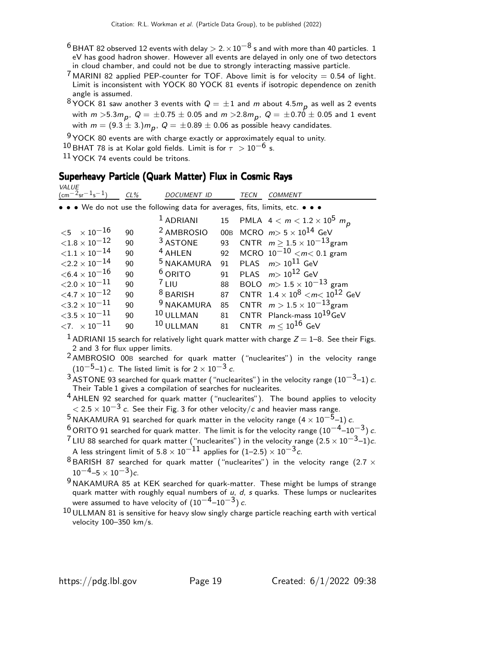- $^6$  BHAT 82 observed 12 events with delay  $> 2. \times 10^{-8}$  s and with more than 40 particles. 1 eV has good hadron shower. However all events are delayed in only one of two detectors in cloud chamber, and could not be due to strongly interacting massive particle.
- <sup>7</sup> MARINI 82 applied PEP-counter for TOF. Above limit is for velocity = 0.54 of light. Limit is inconsistent with YOCK 80 YOCK 81 events if isotropic dependence on zenith angle is assumed.
- $^8$ YOCK 81 saw another 3 events with  $Q=\pm 1$  and  $m$  about 4.5 $m_{\bm p}$  as well as 2 events with  $m >$ 5.3 $m_{\bm p},\; Q=\pm$  0.75  $\pm$  0.05 and  $m >$ 2.8 $m_{\bm p},\; Q=\pm$  0.70  $\pm$  0.05 and 1 event with  $m=(9.3\pm3.)m_{\bm p},\ Q=\pm0.89\pm0.06$  as possible heavy candidates.

 $9$  YOCK 80 events are with charge exactly or approximately equal to unity.

 $^{10}$  BHAT 78 is at Kolar gold fields. Limit is for  $\tau$   $>$   $10^{-6}$  s.

 $11$  YOCK 74 events could be tritons.

VALUE

# Superheavy Particle (Quark Matter) Flux in Cosmic Rays

| V/LU<br>$\frac{-2}{5}$ sr <sup>-1</sup> s <sup>-1</sup> ) | $CL\%$ | <b>DOCUMENT ID</b>    |    | TECN<br><i>COMMENT</i>                                                        |
|-----------------------------------------------------------|--------|-----------------------|----|-------------------------------------------------------------------------------|
|                                                           |        |                       |    | • • • We do not use the following data for averages, fits, limits, etc. • • • |
|                                                           |        | <sup>1</sup> ADRIANI  |    | 15 PMLA $4 < m < 1.2 \times 10^5$ m <sub>p</sub>                              |
| ${<}5 \times 10^{-16}$                                    | 90     | <sup>2</sup> AMBROSIO |    | 00B MCRO $m > 5 \times 10^{14}$ GeV                                           |
| ${<}1.8\times10^{-12}$                                    | 90     | <sup>3</sup> ASTONE   | 93 | CNTR $m > 1.5 \times 10^{-13}$ gram                                           |
| ${<}1.1\times10^{-14}$                                    | 90     | <sup>4</sup> AHLEN    | 92 | MCRO $10^{-10}$ $\lt m \lt 0.1$ gram                                          |
| $<$ 2.2 $\times$ 10 $^{-14}$                              | 90     | <sup>5</sup> NAKAMURA | 91 | PLAS $m > 10^{11}$ GeV                                                        |
| ${<}6.4\times10^{-16}$                                    | 90     | $6$ ORITO             | 91 | PLAS $m > 10^{12}$ GeV                                                        |
| ${<}2.0\times10^{-11}$                                    | 90     | 7111                  | 88 | BOLO $m > 1.5 \times 10^{-13}$ gram                                           |
| $<$ 4.7 $\times$ 10 $^{-12}$                              | 90     | $8$ BARISH            | 87 | CNTR $1.4 \times 10^8$ $\lt m \lt 10^{12}$ GeV                                |
| ${<}3.2\times10^{-11}$                                    | 90     | <sup>9</sup> NAKAMURA | 85 | CNTR $m > 1.5 \times 10^{-13}$ gram                                           |
| $<$ 3.5 $\times$ 10 $^{-11}$                              | 90     | 10 ULLMAN             |    | 81 CNTR Planck-mass 10 <sup>19</sup> GeV                                      |
| $\langle 7. \ \times 10^{-11} \rangle$                    | 90     | 10 ULLMAN             |    | 81 CNTR $m < 10^{16}$ GeV                                                     |

<sup>1</sup> ADRIANI 15 search for relatively light quark matter with charge  $Z = 1-8$ . See their Figs. 2 and 3 for flux upper limits.

- 2 AMBROSIO 00<sup>B</sup> searched for quark matter ("nuclearites") in the velocity range  $(10^{-5}-1)$  c. The listed limit is for  $2 \times 10^{-3}$  c.
- $^3$  ASTONE 93 searched for quark matter ("nuclearites") in the velocity range  $(10^{-3}\text{--}1)$   $c$ . Their Table 1 gives a compilation of searches for nuclearites.
- $4$  AHLEN 92 searched for quark matter ("nuclearites"). The bound applies to velocity  $<$  2.5  $\times$  10 $^{-3}$  c. See their Fig. 3 for other velocity/c and heavier mass range.

5 NAKAMURA 91 searched for quark matter in the velocity range  $(4 \times 10^{-\overline{5}}-1)$  c.

- $^6$  ORITO 91 searched for quark matter. The limit is for the velocity range (10<sup>-4</sup>–10<sup>-3</sup>) c.
- $^7$ LIU 88 searched for quark matter ("nuclearites") in the velocity range  $(2.5\times 10^{-3}$ –1) $c$ . A less stringent limit of 5.8  $\times\,10^{-11}$  applies for  $(1\text{--}2.5)\times10^{-3}\,c.$
- $8$  BARISH 87 searched for quark matter ("nuclearites") in the velocity range (2.7  $\times$  $10^{-4}$ –5 ×  $10^{-3}$ )c.
- $9$  NAKAMURA 85 at KEK searched for quark-matter. These might be lumps of strange quark matter with roughly equal numbers of  $u$ ,  $d$ ,  $s$  quarks. These lumps or nuclearites were assumed to have velocity of  $(10^{-4}-10^{-3})$  c.
- $10$  ULLMAN 81 is sensitive for heavy slow singly charge particle reaching earth with vertical velocity 100–350 km/s.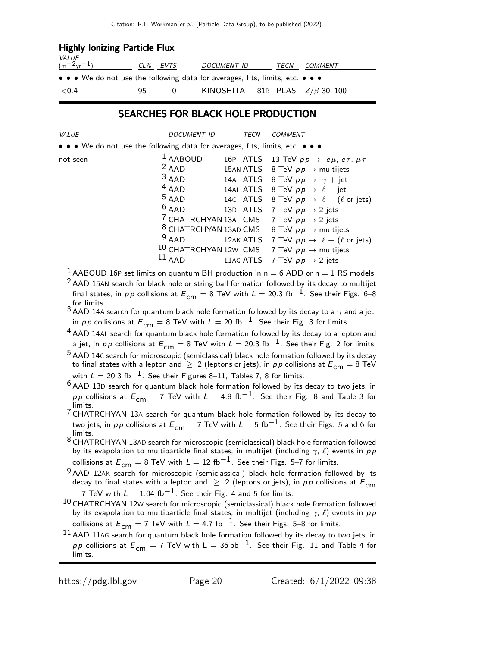| <b>Highly lonizing Particle Flux</b>                                                                                  |          |          |                                     |  |      |                |  |  |  |  |
|-----------------------------------------------------------------------------------------------------------------------|----------|----------|-------------------------------------|--|------|----------------|--|--|--|--|
| $\frac{VALUE}{(m^{-2}yr^{-1})}$                                                                                       | CL% EVTS |          | <i>DOCUMENT ID</i>                  |  | TECN | <i>COMMENT</i> |  |  |  |  |
| $\bullet \bullet \bullet$ We do not use the following data for averages, fits, limits, etc. $\bullet \bullet \bullet$ |          |          |                                     |  |      |                |  |  |  |  |
| < 0.4                                                                                                                 | 95       | $\Omega$ | KINOSHITA 81B PLAS $Z/\beta$ 30-100 |  |      |                |  |  |  |  |

## SEARCHES FOR BLACK HOLE PRODUCTION

| VALUE                                                                         | <b>DOCUMENT ID</b>                                                                                                                                   | <b>TECN</b>           | <b>COMMENT</b>                                                                                                                                                                                                                                                                                                                                                                                                                                                                                                 |
|-------------------------------------------------------------------------------|------------------------------------------------------------------------------------------------------------------------------------------------------|-----------------------|----------------------------------------------------------------------------------------------------------------------------------------------------------------------------------------------------------------------------------------------------------------------------------------------------------------------------------------------------------------------------------------------------------------------------------------------------------------------------------------------------------------|
| • • • We do not use the following data for averages, fits, limits, etc. • • • |                                                                                                                                                      |                       |                                                                                                                                                                                                                                                                                                                                                                                                                                                                                                                |
| not seen                                                                      | $1$ AABOUD<br>$2$ AAD<br>$3$ AAD<br>$4$ AAD<br>$5$ AAD<br>$6$ AAD<br><sup>8</sup> CHATRCHYAN 13AD CMS<br>$9$ AAD<br><sup>10</sup> CHATRCHYAN 12W CMS | 14C ATLS<br>12AK ATLS | 16P ATLS 13 TeV $pp \rightarrow e\mu$ , $e\tau$ , $\mu\tau$<br>15AN ATLS 8 TeV $pp \rightarrow$ multijets<br>14A ATLS 8 TeV $pp \rightarrow \gamma + jet$<br>14AL ATLS 8 TeV $pp \rightarrow \ell + jet$<br>8 TeV $pp \rightarrow \ell + (\ell \text{ or jets})$<br>13D ATLS 7 TeV $pp \rightarrow 2$ jets<br><sup>7</sup> CHATRCHYAN 13A CMS 7 TeV $pp \rightarrow 2$ jets<br>8 TeV $p p \rightarrow$ multijets<br>7 TeV $p p \rightarrow \ell + (\ell \text{ or jets})$<br>7 TeV $p p \rightarrow$ multijets |
|                                                                               | $11$ AAD                                                                                                                                             | 11AG ATLS             | 7 TeV $pp \rightarrow 2$ jets                                                                                                                                                                                                                                                                                                                                                                                                                                                                                  |

<sup>1</sup> AABOUD 16P set limits on quantum BH production in  $n = 6$  ADD or  $n = 1$  RS models.

- $2$  AAD 15AN search for black hole or string ball formation followed by its decay to multijet final states, in pp collisions at  $E_{cm} = 8$  TeV with  $L = 20.3$  fb<sup>-1</sup>. See their Figs. 6–8 for limits.
- 3 AAD 14A search for quantum black hole formation followed by its decay to a  $\gamma$  and a jet, in pp collisions at  $E_{cm} = 8$  TeV with  $L = 20$  fb<sup>-1</sup>. See their Fig. 3 for limits.

<sup>4</sup> AAD 14AL search for quantum black hole formation followed by its decay to a lepton and a jet, in pp collisions at  $E_{cm} = 8$  TeV with  $L = 20.3$  fb<sup>-1</sup>. See their Fig. 2 for limits.

 $^{\text{5}}$  AAD 14C search for microscopic (semiclassical) black hole formation followed by its decay to final states with a lepton and  $\geq 2$  (leptons or jets), in  $\rho \rho$  collisions at  $E^{}_{\mathsf{cm}}=8$  TeV with  $L = 20.3$  fb<sup>-1</sup>. See their Figures 8–11, Tables 7, 8 for limits.

7 CHATRCHYAN 13<sup>A</sup> search for quantum black hole formation followed by its decay to two jets, in  $pp$  collisions at  $E_{cm} = 7$  TeV with  $L = 5$  fb $^{-1}$ . See their Figs. 5 and 6 for limits.

8 CHATRCHYAN 13AD search for microscopic (semiclassical) black hole formation followed by its evapolation to multiparticle final states, in multijet (including  $\gamma$ ,  $\ell$ ) events in pp collisions at  $E_{cm} = 8$  TeV with  $L = 12$  fb<sup>-1</sup>. See their Figs. 5-7 for limits.

- $9$  AAD 12AK search for microscopic (semiclassical) black hole formation followed by its decay to final states with a lepton and  $\geq 2$  (leptons or jets), in  $pp$  collisions at  $E_{\mathsf{cm}}$  $=$  7 TeV with  $L = 1.04$  fb $^{-1}$ . See their Fig. 4 and 5 for limits.
- 10 CHATRCHYAN 12<sup>W</sup> search for microscopic (semiclassical) black hole formation followed by its evapolation to multiparticle final states, in multijet (including  $\gamma$ ,  $\ell$ ) events in pp collisions at  $E_{cm} = 7$  TeV with  $L = 4.7$  fb<sup>-1</sup>. See their Figs. 5-8 for limits.
- $11$  AAD 11AG search for quantum black hole formation followed by its decay to two jets, in  $p\,p$  collisions at  $E_{\mathsf{cm}}=7$  TeV with L  $=36\,\mathsf{pb}^{-1}$ . See their Fig. 11 and Table 4 for limits.

 $6$  AAD 13D search for quantum black hole formation followed by its decay to two jets, in pp collisions at  $E_{cm} = 7$  TeV with  $L = 4.8$  fb $^{-1}$ . See their Fig. 8 and Table 3 for limits.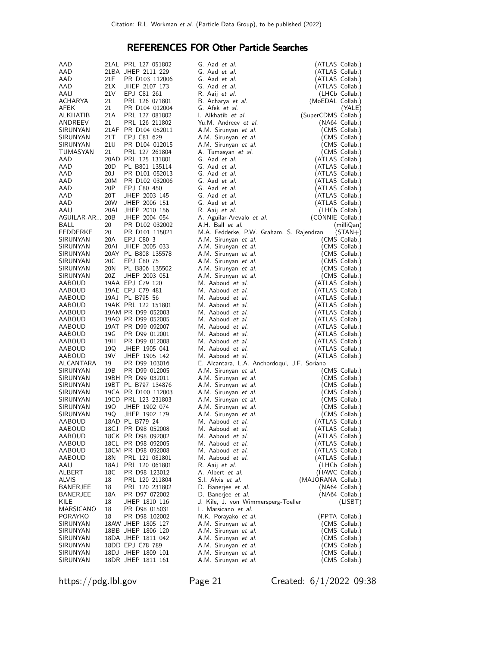# REFERENCES FOR Other Particle Searches

| AAD              |                 | 21AL PRL 127 051802                 | G. Aad <i>et al.</i>                         | (ATLAS Collab.)                      |
|------------------|-----------------|-------------------------------------|----------------------------------------------|--------------------------------------|
| AAD              |                 | 21BA JHEP 2111 229                  | G. Aad et al.                                | (ATLAS Collab.)                      |
| AAD              | 21F             | PR D103 112006                      | G. Aad et al.                                | (ATLAS Collab.)                      |
| AAD              | 21X             | JHEP 2107 173                       | G. Aad et al.                                | (ATLAS Collab.)                      |
| AAIJ             | 21V             | EPJ C81 261                         | R. Aaij et al.                               | (LHCb Collab.)                       |
| ACHARYA          | 21              | PRL 126 071801                      | B. Acharya et al.                            | (MoEDAL Collab.)                     |
| AFEK             | 21              | PR D104 012004                      | G. Afek <i>et al.</i>                        | (YALE)                               |
| ALKHATIB         | 21A             | PRL 127 081802                      | I. Alkhatib et al.                           | (SuperCDMS Collab.)                  |
| ANDREEV          | 21              | PRL 126 211802                      | Yu.M. Andreev et al.                         | (NA64 Collab.)                       |
| SIRUNYAN         |                 | 21AF PR D104 052011                 | A.M. Sirunyan et al.                         | (CMS Collab.)                        |
| SIRUNYAN         | 21 T            | EPJ C81 629                         | A.M. Sirunyan et al.                         | (CMS Collab.)                        |
| SIRUNYAN         | 21U             | PR D104 012015                      | A.M. Sirunyan et al.                         | (CMS Collab.)                        |
| TUMASYAN         | 21              | PRL 127 261804                      | A. Tumasyan et al.                           | (CMS Collab.)                        |
| AAD              |                 | 20AD PRL 125 131801                 | G. Aad et al.                                | (ATLAS Collab.)                      |
| AAD              | 20 <sub>D</sub> | PL B801 135114                      | G. Aad et al.                                | (ATLAS Collab.)                      |
| AAD              | 20J             | PR D101 052013                      | G. Aad et al.                                | (ATLAS Collab.)                      |
| AAD              | 20M             | PR D102 032006                      | G. Aad et al.                                | (ATLAS Collab.)                      |
| AAD              | 20P             | EPJ C80 450                         | G. Aad et al.                                | (ATLAS Collab.)                      |
| AAD              | 20T             | JHEP 2003 145                       | G. Aad et al.                                | (ATLAS Collab.)                      |
| AAD              | 20W             | JHEP 2006 151                       | G. Aad et al.                                | (ATLAS Collab.)                      |
| AAIJ             | 20AL            | JHEP 2010 156                       | R. Aaij <i>et al.</i>                        | (LHCb Collab.)                       |
| AGUILAR-AR 20B   |                 | JHEP 2004 054                       | A. Aguilar-Arevalo et al.                    | (CONNIE Collab.)                     |
| BALL             | 20              | PR D102 032002                      | A.H. Ball et al.                             | (milliQan)                           |
| <b>FEDDERKE</b>  | 20              | PR D101 115021                      | M.A. Fedderke, P.W. Graham, S. Rajendran     | $(STAN+)$                            |
| SIRUNYAN         | 20A             | EPJ C80 3                           | A.M. Sirunyan et al.                         | (CMS Collab.)                        |
| SIRUNYAN         | 20AI            | JHEP 2005 033                       | A.M. Sirunyan et al.                         | (CMS Collab.)                        |
| SIRUNYAN         |                 | 20AY PL B808 135578                 | A.M. Sirunyan et al.                         | (CMS Collab.)                        |
| SIRUNYAN         | 20C             | EPJ C80 75                          | A.M. Sirunyan et al.                         | (CMS Collab.)                        |
| SIRUNYAN         | 20N             | PL B806 135502                      | A.M. Sirunyan et al.                         | (CMS Collab.)                        |
| SIRUNYAN         | 20Z             | JHEP 2003 051                       | A.M. Sirunyan et al.                         | (CMS Collab.)                        |
| AABOUD<br>AABOUD |                 | 19AA EPJ C79 120                    | M. Aaboud et al.<br>M. Aaboud et al.         | (ATLAS Collab.)<br>(ATLAS Collab.)   |
| AABOUD           |                 | 19AE EPJ C79 481<br>19AJ PL B795 56 | M. Aaboud et al.                             | (ATLAS Collab.)                      |
| AABOUD           |                 | 19AK PRL 122 151801                 | M. Aaboud et al.                             | (ATLAS Collab.)                      |
| AABOUD           |                 | 19AM PR D99 052003                  | M. Aaboud et al.                             | (ATLAS Collab.)                      |
| AABOUD           |                 | 19AO PR D99 052005                  | M. Aaboud et al.                             | (ATLAS Collab.)                      |
| AABOUD           |                 | 19AT PR D99 092007                  | M. Aaboud et al.                             | (ATLAS Collab.)                      |
| AABOUD           | 19G             | PR D99 012001                       | M. Aaboud et al.                             | (ATLAS Collab.)                      |
| AABOUD           | 19H             | PR D99 012008                       | M. Aaboud et al.                             | (ATLAS Collab.)                      |
| AABOUD           | 19Q             | JHEP 1905 041                       | M. Aaboud et al.                             | (ATLAS Collab.)                      |
| AABOUD           | 19 <sub>V</sub> | JHEP 1905 142                       | M. Aaboud et al.                             | (ATLAS Collab.)                      |
| ALCANTARA        | 19              | PR D99 103016                       | E. Alcantara, L.A. Anchordoqui, J.F. Soriano |                                      |
| SIRUNYAN         | 19B             | PR D99 012005                       | A.M. Sirunyan et al.                         | (CMS Collab.)                        |
| SIRUNYAN         |                 | 19BH PR D99 032011                  | A.M. Sirunyan et al.                         | (CMS Collab.)                        |
| SIRUNYAN         |                 | 19BT PL B797 134876                 | A.M. Sirunyan et al.                         | (CMS Collab.)                        |
| SIRUNYAN         |                 | 19CA PR D100 112003                 | A.M. Sirunyan et al.                         | (CMS Collab.)                        |
| SIRUNYAN         |                 | 19CD PRL 123 231803                 | A.M. Sirunyan et al.                         | (CMS Collab.)                        |
| SIRUNYAN         | 190             | JHEP 1902 074                       | A.M. Sirunyan et al.                         | (CMS Collab.)                        |
| SIRUNYAN         | 19Q             | JHEP 1902 179                       | A.M. Sirunyan et al.                         | (CMS Collab.)                        |
| AABOUD           |                 | 18AD PL B779 24                     | M. Aaboud et al.                             | (ATLAS Collab.)                      |
| <b>AABOUD</b>    |                 | 18CJ PR D98 052008                  | M. Aaboud et al.                             | (ATLAS Collab.)                      |
| AABOUD           |                 | 18CK PR D98 092002                  | M. Aaboud <i>et al.</i>                      | (ATLAS Collab.)                      |
| AABOUD           |                 | 18CL PR D98 092005                  | M. Aaboud et al.                             | (ATLAS Collab.)                      |
| AABOUD           |                 | 18CM PR D98 092008                  | M. Aaboud <i>et al.</i>                      | (ATLAS Collab.)                      |
| AABOUD           | 18N             | PRL 121 081801                      | M. Aaboud et al.                             | (ATLAS Collab.)                      |
| AAIJ             | 18AJ            | PRL 120 061801                      | R. Aaij <i>et al.</i>                        | (LHCb Collab.)                       |
| ALBERT<br>ALVIS  | 18C             | PR D98 123012                       | A. Albert <i>et al.</i><br>S.I. Alvis et al. | (HAWC Collab.)<br>(MAJORANA Collab.) |
| BANERJEE         | 18<br>18        | PRL 120 211804<br>PRL 120 231802    | D. Banerjee et al.                           | (NA64 Collab.)                       |
| <b>BANERJEE</b>  | 18A             | PR D97 072002                       | D. Banerjee et al.                           | (NA64 Collab.)                       |
| KILE             | 18              | JHEP 1810 116                       | J. Kile, J. von Wimmersperg-Toeller          | (LISBT)                              |
| MARSICANO        | 18              | PR D98 015031                       | L. Marsicano et al.                          |                                      |
| PORAYKO          | 18              | PR D98 102002                       | N.K. Porayako et al.                         | (PPTA Collab.)                       |
| SIRUNYAN         |                 | 18AW JHEP 1805 127                  | A.M. Sirunyan et al.                         | (CMS Collab.)                        |
| SIRUNYAN         |                 | 18BB JHEP 1806 120                  | A.M. Sirunyan et al.                         | (CMS Collab.)                        |
| SIRUNYAN         |                 | 18DA JHEP 1811 042                  | A.M. Sirunyan et al.                         | (CMS Collab.)                        |
| SIRUNYAN         |                 | 18DD EPJ C78 789                    | A.M. Sirunyan et al.                         | (CMS Collab.)                        |
| SIRUNYAN         |                 | 18DJ JHEP 1809 101                  | A.M. Sirunyan et al.                         | (CMS Collab.)                        |
| SIRUNYAN         |                 | 18DR JHEP 1811 161                  | A.M. Sirunyan et al.                         | (CMS Collab.)                        |

https://pdg.lbl.gov Page 21 Created: 6/1/2022 09:38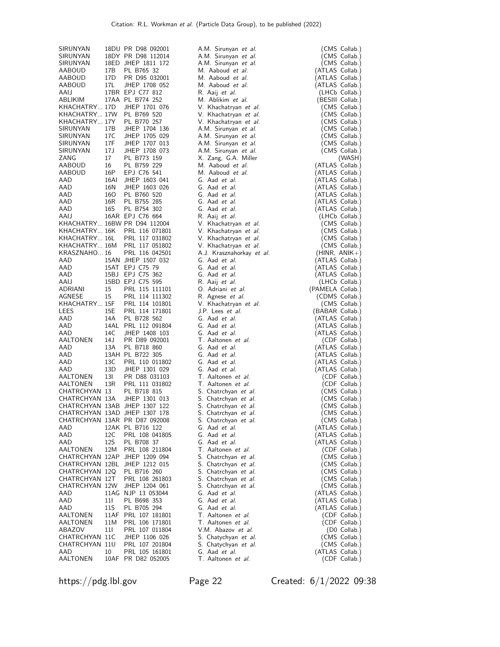| SIRUNYAN                        |             | 18DU PR D98 092001                                             | A.M. Sirunyan et al.                               | (CMS Collab.)                      |
|---------------------------------|-------------|----------------------------------------------------------------|----------------------------------------------------|------------------------------------|
| SIRUNYAN<br>SIRUNYAN            |             | 18DY PR D98 112014<br>18ED JHEP 1811 172                       | A.M. Sirunyan et al.<br>A.M. Sirunyan et al.       | (CMS Collab.)                      |
| AABOUD                          | 17B         | PL B765 32                                                     | M. Aaboud et al.                                   | (CMS Collab.)<br>(ATLAS Collab.)   |
| AABOUD                          | 17D         | PR D95 032001                                                  | M. Aaboud et al.                                   | (ATLAS Collab.)                    |
| AABOUD                          | 17L         | JHEP 1708 052                                                  | M. Aaboud et al.                                   | (ATLAS Collab.)                    |
| AAIJ<br>ABLIKIM                 |             | 17BR EPJ C77 812<br>17AA PL B774 252                           | R. Aaij et al.<br>M. Ablikim et al.                | (LHCb Collab.)<br>(BESIII Collab.) |
| KHACHATRY 17D                   |             | JHEP 1701 076                                                  | V. Khachatryan et al.                              | (CMS Collab.)                      |
| KHACHATRY 17W PL B769 520       |             |                                                                | V. Khachatryan et al.                              | (CMS Collab.)                      |
| KHACHATRY 17Y<br>SIRUNYAN       | 17B         | PL B770 257<br>JHEP 1704 136                                   | V. Khachatryan et al.<br>A.M. Sirunyan et al.      | (CMS Collab.)<br>(CMS Collab.)     |
| SIRUNYAN                        | 17C         | JHEP 1705 029                                                  | A.M. Sirunyan et al.                               | (CMS Collab.)                      |
| SIRUNYAN<br>SIRUNYAN            | 17F         | JHEP 1707 013                                                  | A.M. Sirunyan et al.                               | (CMS Collab.)                      |
| ZANG                            | 17 J<br>17  | JHEP 1708 073<br>PL B773 159                                   | A.M. Sirunyan et al.<br>X. Zang, G.A. Miller       | (CMS Collab.)<br>(WASH)            |
| AABOUD                          | 16          | PL B759 229                                                    | M. Aaboud et al.                                   | (ATLAS Collab.)                    |
| AABOUD                          | 16P         | EPJ C76 541                                                    | M. Aaboud et al.                                   | (ATLAS Collab.)                    |
| AAD<br>AAD                      | 16AI<br>16N | JHEP 1603 041<br>JHEP 1603 026                                 | G. Aad et al.<br>G. Aad et al.                     | (ATLAS Collab.)<br>(ATLAS Collab.) |
| AAD                             | 160         | PL B760 520                                                    | G. Aad et al.                                      | (ATLAS Collab.)                    |
| AAD                             | 16R         | PL B755 285                                                    | G. Aad et al.                                      | (ATLAS Collab.)                    |
| AAD                             | 16S         | PL B754 302                                                    | G. Aad et al.                                      | (ATLAS Collab.)                    |
| AAIJ                            |             | 16AR EPJ C76 664<br>KHACHATRY 16BW PR D94 112004               | R. Aaij et al.<br>V. Khachatryan et al.            | (LHCb Collab.)<br>(CMS Collab.)    |
|                                 |             | KHACHATRY 16K PRL 116 071801                                   | V. Khachatryan et al.                              | (CMS Collab.)                      |
| KHACHATRY 16L                   |             | PRL 117 031802                                                 | V. Khachatryan et al.                              | (CMS Collab.)                      |
| KRASZNAHO 16                    |             | KHACHATRY 16M PRL 117 051802<br>PRL 116 042501                 | V. Khachatryan et al.<br>A.J. Krasznahorkay et al. | (CMS Collab.)<br>$(HINR, ANIK+)$   |
| AAD                             |             | 15AN JHEP 1507 032                                             | G. Aad et al.                                      | (ATLAS Collab.)                    |
| AAD                             |             | 15AT EPJ C75 79                                                | G. Aad et al.                                      | (ATLAS Collab.)                    |
| AAD<br>AAIJ                     |             | 15BJ EPJ C75 362<br>15BD EPJ C75 595                           | G. Aad et al.<br>R. Aaij et al.                    | (ATLAS Collab.)<br>(LHCb Collab.)  |
| ADRIANI                         | 15          | PRL 115 111101                                                 | O. Adriani et al.                                  | (PAMELA Collab.)                   |
| AGNESE                          | 15          | PRL 114 111302                                                 | R. Agnese <i>et al.</i>                            | (CDMS Collab.)                     |
| KHACHATRY 15F<br>LEES           | 15E         | PRL 114 101801<br>PRL 114 171801                               | V. Khachatryan et al.<br>J.P. Lees et al.          | (CMS Collab.)<br>(BABAR Collab.)   |
| AAD                             | 14A         | PL B728 562                                                    | G. Aad et al.                                      | (ATLAS Collab.)                    |
| AAD                             |             | 14AL PRL 112 091804                                            | G. Aad et al.                                      | (ATLAS Collab.)                    |
| AAD<br>AALTONEN                 | 14C<br>14 J | JHEP 1408 103<br>PR D89 092001                                 | G. Aad et al.<br>T. Aaltonen et al.                | (ATLAS Collab.)<br>(CDF Collab.)   |
| AAD                             | 13A         | PL B718 860                                                    | G. Aad et al.                                      | (ATLAS Collab.)                    |
| AAD                             |             | 13AH PL B722 305                                               | G. Aad et al.                                      | (ATLAS Collab.)                    |
| AAD<br>AAD                      | 13C<br>13D  | PRL 110 011802<br>JHEP 1301 029                                | G. Aad et al.<br>G. Aad et al.                     | (ATLAS Collab.)<br>(ATLAS Collab.) |
| AALTONEN                        | 13I         | PR D88 031103                                                  | T. Aaltonen et al.                                 | (CDF Collab.)                      |
| AALTONEN                        | 13R         | PRL 111 031802                                                 | T. Aaltonen et al.                                 | (CDF Collab.)                      |
| CHATRCHYAN 13<br>CHATRCHYAN 13A |             | PL B718 815<br>JHEP 1301 013                                   | S. Chatrchyan et al.                               | (CMS Collab.)<br>(CMS Collab.)     |
|                                 |             | CHATRCHYAN 13AB JHEP 1307 122                                  | S. Chatrchyan et al.<br>S. Chatrchyan et al.       | (CMS Collab.)                      |
|                                 |             | CHATRCHYAN 13AD JHEP 1307 178                                  | S. Chatrchyan et al.                               | (CMS Collab.)                      |
|                                 |             | CHATRCHYAN 13AR PR D87 092008<br>12AK PL B716 122              | S. Chatrchyan et al.<br>G. Aad et al.              | (CMS Collab.)<br>(ATLAS Collab.)   |
| AAD<br>AAD                      | 12C         | PRL 108 041805                                                 | G. Aad et al.                                      | (ATLAS Collab.)                    |
| AAD                             | 12S         | PL B708 37                                                     | G. Aad et al.                                      | (ATLAS Collab.)                    |
| AALTONEN                        | 12M         | PRL 108 211804                                                 | T. Aaltonen et al.                                 | (CDF Collab.)                      |
|                                 |             | CHATRCHYAN 12AP JHEP 1209 094<br>CHATRCHYAN 12BL JHEP 1212 015 | S. Chatrchyan et al.<br>S. Chatrchyan et al.       | (CMS Collab.)<br>(CMS Collab.)     |
| CHATRCHYAN 12Q                  |             | PL B716 260                                                    | S. Chatrchyan et al.                               | (CMS Collab.)                      |
| CHATRCHYAN 12T                  |             | PRL 108 261803                                                 | S. Chatrchyan et al.                               | (CMS Collab.)                      |
| CHATRCHYAN 12W<br>AAD           |             | JHEP 1204 061<br>11AG NJP 13 053044                            | S. Chatrchyan et al.<br>G. Aad et al.              | (CMS Collab.)<br>(ATLAS Collab.)   |
| AAD                             | 111         | PL B698 353                                                    | G. Aad et al.                                      | (ATLAS Collab.)                    |
| AAD                             | 11S         | PL B705 294                                                    | G. Aad et al.                                      | (ATLAS Collab.)                    |
| AALTONEN<br>AALTONEN            | 11M         | 11AF PRL 107 181801<br>PRL 106 171801                          | T. Aaltonen et al.<br>T. Aaltonen et al.           | (CDF Collab.)<br>(CDF Collab.)     |
| ABAZOV                          | 111         | PRL 107 011804                                                 | V.M. Abazov et al.                                 | (D0 Collab.)                       |
| CHATRCHYAN 11C                  |             | JHEP 1106 026                                                  | S. Chatychyan et al.                               | (CMS Collab.)                      |
| CHATRCHYAN 11U<br>AAD           | 10          | PRL 107 201804<br>PRL 105 161801                               | S. Chatychyan et al.<br>G. Aad et al.              | (CMS Collab.)<br>(ATLAS Collab.)   |
| AALTONEN                        |             | 10AF PR D82 052005                                             | T. Aaltonen et al.                                 | (CDF Collab.)                      |
|                                 |             |                                                                |                                                    |                                    |

https://pdg.lbl.gov Page 22 Created: 6/1/2022 09:38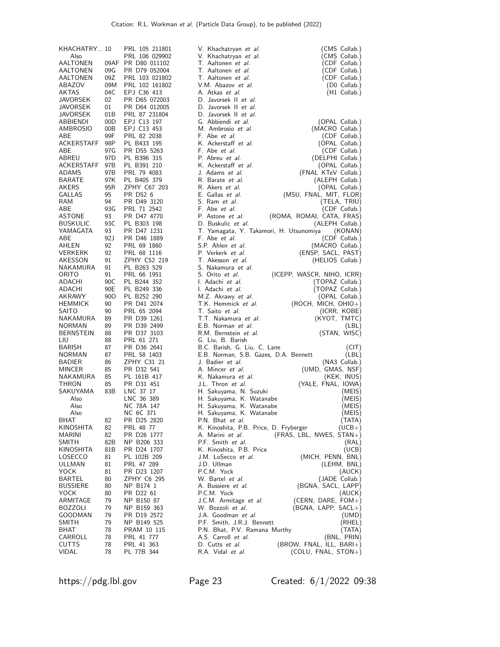| KHACHATRY 10     |      | PRL 105 211801     | V. Khachatryan et al.                           | (CMS Collab.)    |
|------------------|------|--------------------|-------------------------------------------------|------------------|
| Also             |      | PRL 106 029902     | V. Khachatryan et al.                           | (CMS Collab.)    |
| AALTONEN         |      | 09AF PR D80 011102 | T. Aaltonen et al.                              | (CDF Collab.)    |
| AALTONEN         | 09G  | PR D79 052004      | T. Aaltonen et al.                              | (CDF Collab.)    |
| AALTONEN         | 09Z  | PRL 103 021802     | T. Aaltonen et al.                              | (CDF Collab.)    |
| ABAZOV           | 09M  | PRL 102 161802     | V.M. Abazov et al.                              | (D0 Collab.)     |
| <b>AKTAS</b>     | 04C  | EPJ C36 413        | A. Atkas et al.                                 | (H1 Collab.)     |
| <b>JAVORSEK</b>  | 02   | PR D65 072003      | D. Javorsek II et al.                           |                  |
| JAVORSEK         | 01   | PR D64 012005      | D. Javorsek II et al.                           |                  |
|                  |      |                    |                                                 |                  |
| JAVORSEK         | 01B  | PRL 87 231804      | D. Javorsek II et al.                           |                  |
| ABBIENDI         | 00D  | EPJ C13 197        | G. Abbiendi et al.                              | (OPAL Collab.)   |
| AMBROSIO         | 00B  | EPJ C13 453        | M. Ambrosio et al.                              | (MACRO Collab.)  |
| ABE              | 99F  | PRL 82 2038        | F. Abe et al.                                   | (CDF Collab.)    |
| ACKERSTAFF       | 98P  | PL B433 195        | K. Ackerstaff et al.                            | (OPAL Collab.)   |
| ABE              | 97 G | PR D55 5263        | F. Abe et al.                                   | (CDF Collab.)    |
| ABREU            | 97D  | PL B396 315        | P. Abreu et al.                                 | (DELPHI Collab.) |
| ACKERSTAFF       | 97B  | PL B391 210        | K. Ackerstaff et al.                            | (OPAL Collab.)   |
| ADAMS            | 97B  | PRL 79 4083        | J. Adams et al.<br>(FNAL KTeV Collab.)          |                  |
| BARATE           | 97K  | PL B405 379        | R. Barate et al.                                | (ALEPH Collab.)  |
| AKERS            | 95R  | ZPHY C67 203       | R. Akers <i>et al.</i>                          | (OPAL Collab.)   |
| GALLAS           | 95   | PR D52 6           | E. Gallas et al.<br>(MSU, FNAL, MIT, FLOR)      |                  |
| RAM              | 94   | PR D49 3120        | S. Ram et al.                                   | (TELA, TRIU)     |
| ABE              | 93G  | PRL 71 2542        | F. Abe et al.                                   | (CDF Collab.)    |
|                  |      |                    |                                                 |                  |
| <b>ASTONE</b>    | 93   | PR D47 4770        | P. Astone et al.<br>(ROMA, ROMAI, CATA, FRAS)   |                  |
| <b>BUSKULIC</b>  | 93C  | PL B303 198        | D. Buskulic et al.                              | (ALEPH Collab.)  |
| YAMAGATA         | 93   | PR D47 1231        | T. Yamagata, Y. Takamori, H. Utsunomiya         | (KONAN)          |
| ABE              | 92 J | PR D46 1889        | F. Abe et al.                                   | (CDF Collab.)    |
| AHLEN            | 92   | PRL 69 1860        | S.P. Ahlen et al.                               | (MACRO Collab.)  |
| <b>VERKERK</b>   | 92   | PRL 68 1116        | P. Verkerk et al.<br>(ENSP, SACL, PAST)         |                  |
| AKESSON          | 91   | ZPHY C52 219       | T. Akesson et al.                               | (HELIOS Collab.) |
| NAKAMURA         | 91   | PL B263 529        | S. Nakamura et al.                              |                  |
| ORITO            | 91   | PRL 66 1951        | S. Orito et al.<br>(ICEPP, WASCR, NIHO, ICRR)   |                  |
| ADACHI           | 90C  | PL B244 352        | I. Adachi et al.                                | (TOPAZ Collab.)  |
| ADACHI           | 90E  | PL B249 336        | I. Adachi <i>et al.</i>                         | (TOPAZ Collab.)  |
| AKRAWY           | 90O  | PL B252 290        | M.Z. Akrawy et al.                              | (OPAL Collab.)   |
| <b>HEMMICK</b>   | 90   | PR D41 2074        | T.K. Hemmick et al.<br>$(ROCH, MICH, OHIO+)$    |                  |
|                  |      |                    | T. Saito et al.                                 |                  |
| <b>SAITO</b>     | 90   | PRL 65 2094        |                                                 | (ICRR, KOBE)     |
| NAKAMURA         | 89   | PR D39 1261        | T.T. Nakamura et al.                            | (KYOT, TMTC)     |
| <b>NORMAN</b>    | 89   | PR D39 2499        | E.B. Norman et al.                              | (LBL)            |
| <b>BERNSTEIN</b> | 88   | PR D37 3103        | R.M. Bernstein et al.                           | (STAN, WISC)     |
| LIU              | 88   | PRL 61 271         | G. Liu, B. Barish                               |                  |
| BARISH           | 87   | PR D36 2641        | B.C. Barish, G. Liu, C. Lane                    | (CIT)            |
| <b>NORMAN</b>    | 87   | PRL 58 1403        | E.B. Norman, S.B. Gazes, D.A. Bennett           | (LBL)            |
| <b>BADIER</b>    | 86   | ZPHY C31 21        | J. Badier <i>et al.</i>                         | (NA3 Collab.)    |
| MINCER           | 85   | PR D32 541         | A. Mincer et al.<br>(UMD, GMAS, NSF)            |                  |
| NAKAMURA         | 85   | PL 161B 417        | K. Nakamura et al.                              | (KEK, INUS)      |
| THRON            | 85   | PR D31 451         | J.L. Thron et al.<br>(YALE, FNAL, IOWA)         |                  |
| SAKUYAMA         | 83B  | LNC 37 17          | H. Sakuyama, N. Suzuki                          | (MEIS)           |
| Also             |      | LNC 36 389         | H. Sakuyama, K. Watanabe                        | (MEIS)           |
| Also             |      | NC 78A 147         | H. Sakuyama, K. Watanabe                        | (MEIS)           |
| Also             |      | NC 6C 371          | H. Sakuyama, K. Watanabe                        | (MEIS)           |
| BHAT             | 82   | PR D25 2820        | P.N. Bhat et al.                                | (TATA)           |
| <b>KINOSHITA</b> | 82   | PRL 48 77          | K. Kinoshita, P.B. Price, D. Fryberger          | (UCB+)           |
| MARINI           | 82   | PR D26 1777        | (FRAS, LBL, NWES, STAN+)<br>A. Marini et al.    |                  |
|                  | 82B  |                    | P.F. Smith et al.                               |                  |
| SMITH            |      | NP B206 333        |                                                 | (RAL)            |
| KINOSHITA        | 81B  | PR D24 1707        | K. Kinoshita, P.B. Price                        | (UCB)            |
| LOSECCO          | 81   | PL 102B 209        | (MICH, PENN, BNL)<br>J.M. LoSecco et al.        |                  |
| ULLMAN           | 81   | PRL 47 289         | J.D. Ullman                                     | (LEHM, BNL)      |
| YOCK             | 81   | PR D23 1207        | P.C.M. Yock                                     | (AUCK)           |
| BARTEL           | 80   | ZPHY C6 295        | W. Bartel <i>et al.</i>                         | (JADE Collab.)   |
| <b>BUSSIERE</b>  | 80   | NP B174 1          | (BGNA, SACL, LAPP)<br>A. Bussiere et al.        |                  |
| YOCK             | 80   | PR D22 61          | P.C.M. Yock                                     | (AUCK)           |
| ARMITAGE         | 79   | NP B150 87         | (CERN, DARE, $FOM+$ )<br>J.C.M. Armitage et al. |                  |
| <b>BOZZOLI</b>   | 79   | NP B159 363        | W. Bozzoli et al.<br>(BGNA, LAPP, SACL+)        |                  |
| GOODMAN          | 79   | PR D19 2572        | J.A. Goodman et al.                             | (UMD)            |
| <b>SMITH</b>     | 79   | NP B149 525        | P.F. Smith, J.R.J. Bennett                      | (RHEL)           |
| BHAT             | 78   | PRAM 10 115        | P.N. Bhat, P.V. Ramana Murthy                   | (TATA)           |
| CARROLL          | 78   | PRL 41 777         | A.S. Carroll et al.                             | (BNL, PRIN)      |
| <b>CUTTS</b>     | 78   | PRL 41 363         | (BROW, FNAL, ILL, BARI+)<br>D. Cutts et al.     |                  |
| <b>VIDAL</b>     | 78   | PL 77B 344         | $(COLU, FNAL, STON+)$<br>R.A. Vidal et al.      |                  |
|                  |      |                    |                                                 |                  |